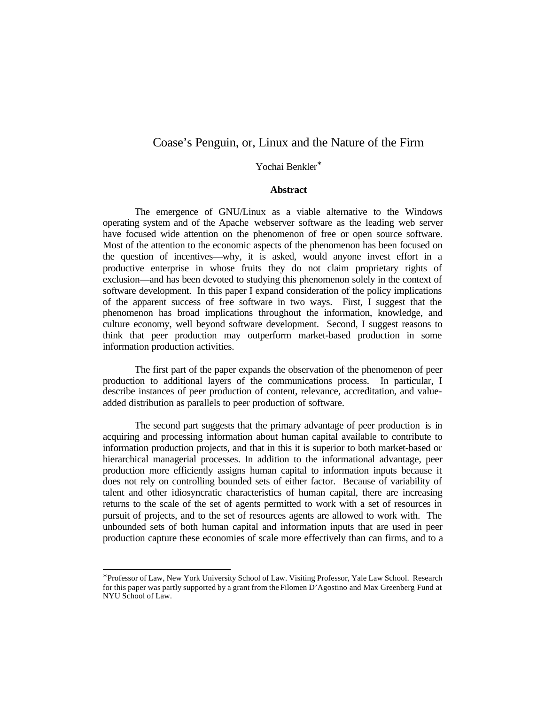# Coase's Penguin, or, Linux and the Nature of the Firm

# Yochai Benkler<sup>∗</sup>

### **Abstract**

The emergence of GNU/Linux as a viable alternative to the Windows operating system and of the Apache webserver software as the leading web server have focused wide attention on the phenomenon of free or open source software. Most of the attention to the economic aspects of the phenomenon has been focused on the question of incentives—why, it is asked, would anyone invest effort in a productive enterprise in whose fruits they do not claim proprietary rights of exclusion—and has been devoted to studying this phenomenon solely in the context of software development. In this paper I expand consideration of the policy implications of the apparent success of free software in two ways. First, I suggest that the phenomenon has broad implications throughout the information, knowledge, and culture economy, well beyond software development. Second, I suggest reasons to think that peer production may outperform market-based production in some information production activities.

The first part of the paper expands the observation of the phenomenon of peer production to additional layers of the communications process. In particular, I describe instances of peer production of content, relevance, accreditation, and valueadded distribution as parallels to peer production of software.

The second part suggests that the primary advantage of peer production is in acquiring and processing information about human capital available to contribute to information production projects, and that in this it is superior to both market-based or hierarchical managerial processes. In addition to the informational advantage, peer production more efficiently assigns human capital to information inputs because it does not rely on controlling bounded sets of either factor. Because of variability of talent and other idiosyncratic characteristics of human capital, there are increasing returns to the scale of the set of agents permitted to work with a set of resources in pursuit of projects, and to the set of resources agents are allowed to work with. The unbounded sets of both human capital and information inputs that are used in peer production capture these economies of scale more effectively than can firms, and to a

Professor of Law, New York University School of Law. Visiting Professor, Yale Law School. Research for this paper was partly supported by a grant from the Filomen D'Agostino and Max Greenberg Fund at NYU School of Law.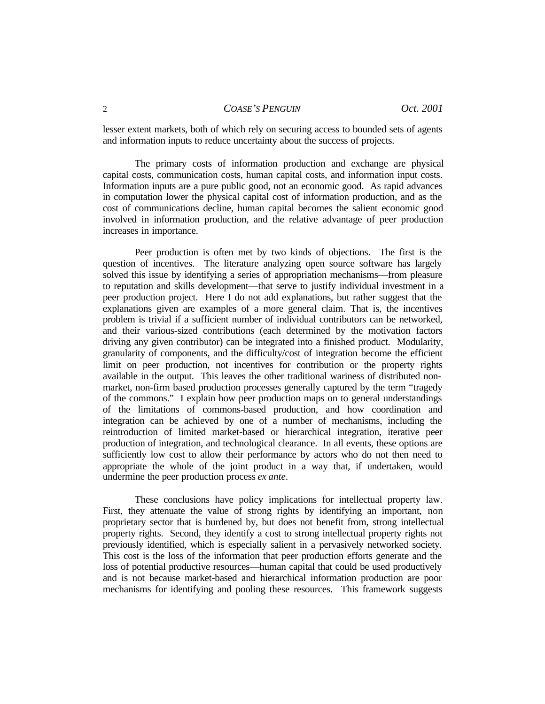lesser extent markets, both of which rely on securing access to bounded sets of agents and information inputs to reduce uncertainty about the success of projects.

The primary costs of information production and exchange are physical capital costs, communication costs, human capital costs, and information input costs. Information inputs are a pure public good, not an economic good. As rapid advances in computation lower the physical capital cost of information production, and as the cost of communications decline, human capital becomes the salient economic good involved in information production, and the relative advantage of peer production increases in importance.

Peer production is often met by two kinds of objections. The first is the question of incentives. The literature analyzing open source software has largely solved this issue by identifying a series of appropriation mechanisms—from pleasure to reputation and skills development—that serve to justify individual investment in a peer production project. Here I do not add explanations, but rather suggest that the explanations given are examples of a more general claim. That is, the incentives problem is trivial if a sufficient number of individual contributors can be networked, and their various-sized contributions (each determined by the motivation factors driving any given contributor) can be integrated into a finished product. Modularity, granularity of components, and the difficulty/cost of integration become the efficient limit on peer production, not incentives for contribution or the property rights available in the output. This leaves the other traditional wariness of distributed nonmarket, non-firm based production processes generally captured by the term "tragedy of the commons." I explain how peer production maps on to general understandings of the limitations of commons-based production, and how coordination and integration can be achieved by one of a number of mechanisms, including the reintroduction of limited market-based or hierarchical integration, iterative peer production of integration, and technological clearance. In all events, these options are sufficiently low cost to allow their performance by actors who do not then need to appropriate the whole of the joint product in a way that, if undertaken, would undermine the peer production process *ex ante*.

These conclusions have policy implications for intellectual property law. First, they attenuate the value of strong rights by identifying an important, non proprietary sector that is burdened by, but does not benefit from, strong intellectual property rights. Second, they identify a cost to strong intellectual property rights not previously identified, which is especially salient in a pervasively networked society. This cost is the loss of the information that peer production efforts generate and the loss of potential productive resources—human capital that could be used productively and is not because market-based and hierarchical information production are poor mechanisms for identifying and pooling these resources. This framework suggests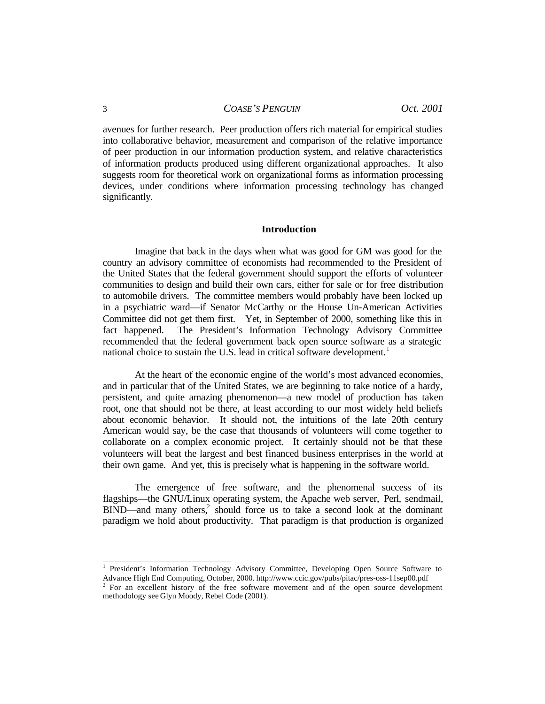avenues for further research. Peer production offers rich material for empirical studies into collaborative behavior, measurement and comparison of the relative importance of peer production in our information production system, and relative characteristics of information products produced using different organizational approaches. It also suggests room for theoretical work on organizational forms as information processing devices, under conditions where information processing technology has changed significantly.

# **Introduction**

Imagine that back in the days when what was good for GM was good for the country an advisory committee of economists had recommended to the President of the United States that the federal government should support the efforts of volunteer communities to design and build their own cars, either for sale or for free distribution to automobile drivers. The committee members would probably have been locked up in a psychiatric ward—if Senator McCarthy or the House Un-American Activities Committee did not get them first. Yet, in September of 2000, something like this in fact happened. The President's Information Technology Advisory Committee recommended that the federal government back open source software as a strategic national choice to sustain the U.S. lead in critical software development.<sup>1</sup>

At the heart of the economic engine of the world's most advanced economies, and in particular that of the United States, we are beginning to take notice of a hardy, persistent, and quite amazing phenomenon—a new model of production has taken root, one that should not be there, at least according to our most widely held beliefs about economic behavior. It should not, the intuitions of the late 20th century American would say, be the case that thousands of volunteers will come together to collaborate on a complex economic project. It certainly should not be that these volunteers will beat the largest and best financed business enterprises in the world at their own game. And yet, this is precisely what is happening in the software world.

The emergence of free software, and the phenomenal success of its flagships—the GNU/Linux operating system, the Apache web server, Perl, sendmail,  $\text{BIND}$ —and many others,<sup>2</sup> should force us to take a second look at the dominant paradigm we hold about productivity. That paradigm is that production is organized

1 President's Information Technology Advisory Committee, Developing Open Source Software to Advance High End Computing, October, 2000. http://www.ccic.gov/pubs/pitac/pres-oss-11sep00.pdf

<sup>2</sup> For an excellent history of the free software movement and of the open source development methodology see Glyn Moody, Rebel Code (2001).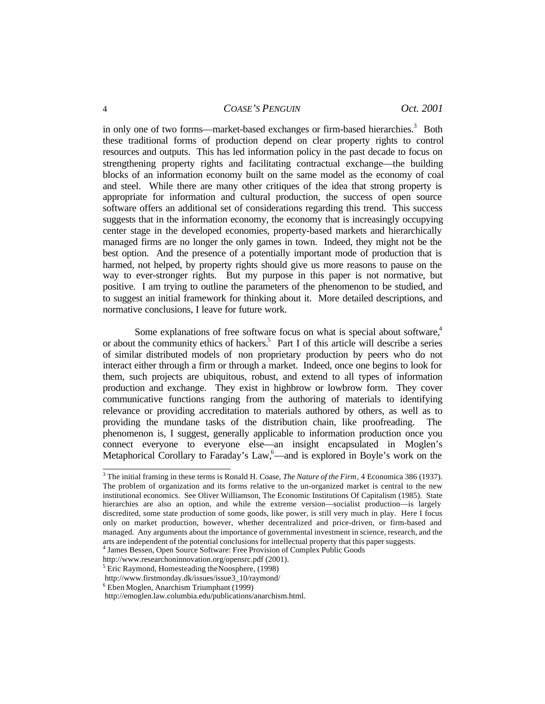in only one of two forms—market-based exchanges or firm-based hierarchies.<sup>3</sup> Both these traditional forms of production depend on clear property rights to control resources and outputs. This has led information policy in the past decade to focus on strengthening property rights and facilitating contractual exchange—the building blocks of an information economy built on the same model as the economy of coal and steel. While there are many other critiques of the idea that strong property is appropriate for information and cultural production, the success of open source software offers an additional set of considerations regarding this trend. This success suggests that in the information economy, the economy that is increasingly occupying center stage in the developed economies, property-based markets and hierarchically managed firms are no longer the only games in town. Indeed, they might not be the best option. And the presence of a potentially important mode of production that is harmed, not helped, by property rights should give us more reasons to pause on the way to ever-stronger rights. But my purpose in this paper is not normative, but positive. I am trying to outline the parameters of the phenomenon to be studied, and to suggest an initial framework for thinking about it. More detailed descriptions, and normative conclusions, I leave for future work.

Some explanations of free software focus on what is special about software, $4$ or about the community ethics of hackers.<sup>5</sup> Part I of this article will describe a series of similar distributed models of non proprietary production by peers who do not interact either through a firm or through a market. Indeed, once one begins to look for them, such projects are ubiquitous, robust, and extend to all types of information production and exchange. They exist in highbrow or lowbrow form. They cover communicative functions ranging from the authoring of materials to identifying relevance or providing accreditation to materials authored by others, as well as to providing the mundane tasks of the distribution chain, like proofreading. The phenomenon is, I suggest, generally applicable to information production once you connect everyone to everyone else—an insight encapsulated in Moglen's Metaphorical Corollary to Faraday's Law,<sup>6</sup>—and is explored in Boyle's work on the

 3 The initial framing in these terms is Ronald H. Coase, *The Nature of the Firm*, 4 Economica 386 (1937). The problem of organization and its forms relative to the un-organized market is central to the new institutional economics. See Oliver Williamson, The Economic Institutions Of Capitalism (1985). State hierarchies are also an option, and while the extreme version—socialist production—is largely discredited, some state production of some goods, like power, is still very much in play. Here I focus only on market production, however, whether decentralized and price-driven, or firm-based and managed. Any arguments about the importance of governmental investment in science, research, and the arts are independent of the potential conclusions for intellectual property that this paper suggests.

<sup>4</sup> James Bessen, Open Source Software: Free Provision of Complex Public Goods

http://www.researchoninnovation.org/opensrc.pdf (2001).

<sup>&</sup>lt;sup>5</sup> Eric Raymond, Homesteading the Noosphere, (1998)

http://www.firstmonday.dk/issues/issue3\_10/raymond/

<sup>6</sup> Eben Moglen, Anarchism Triumphant (1999)

http://emoglen.law.columbia.edu/publications/anarchism.html.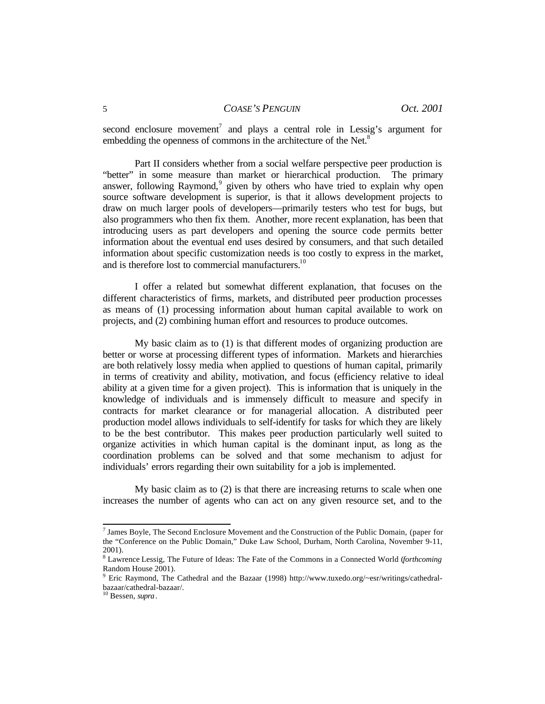second enclosure movement<sup>7</sup> and plays a central role in Lessig's argument for embedding the openness of commons in the architecture of the Net.<sup>8</sup>

Part II considers whether from a social welfare perspective peer production is "better" in some measure than market or hierarchical production. The primary answer, following Raymond,<sup>9</sup> given by others who have tried to explain why open source software development is superior, is that it allows development projects to draw on much larger pools of developers—primarily testers who test for bugs, but also programmers who then fix them. Another, more recent explanation, has been that introducing users as part developers and opening the source code permits better information about the eventual end uses desired by consumers, and that such detailed information about specific customization needs is too costly to express in the market, and is therefore lost to commercial manufacturers.<sup>10</sup>

I offer a related but somewhat different explanation, that focuses on the different characteristics of firms, markets, and distributed peer production processes as means of (1) processing information about human capital available to work on projects, and (2) combining human effort and resources to produce outcomes.

My basic claim as to (1) is that different modes of organizing production are better or worse at processing different types of information. Markets and hierarchies are both relatively lossy media when applied to questions of human capital, primarily in terms of creativity and ability, motivation, and focus (efficiency relative to ideal ability at a given time for a given project). This is information that is uniquely in the knowledge of individuals and is immensely difficult to measure and specify in contracts for market clearance or for managerial allocation. A distributed peer production model allows individuals to self-identify for tasks for which they are likely to be the best contributor. This makes peer production particularly well suited to organize activities in which human capital is the dominant input, as long as the coordination problems can be solved and that some mechanism to adjust for individuals' errors regarding their own suitability for a job is implemented.

My basic claim as to (2) is that there are increasing returns to scale when one increases the number of agents who can act on any given resource set, and to the

l

<sup>&</sup>lt;sup>7</sup> James Boyle, The Second Enclosure Movement and the Construction of the Public Domain, (paper for the "Conference on the Public Domain," Duke Law School, Durham, North Carolina, November 9-11, 2001).

<sup>8</sup> Lawrence Lessig, The Future of Ideas: The Fate of the Commons in a Connected World (*forthcoming* Random House 2001).

<sup>9</sup> Eric Raymond, The Cathedral and the Bazaar (1998) http://www.tuxedo.org/~esr/writings/cathedralbazaar/cathedral-bazaar/.

<sup>10</sup> Bessen, *supra* .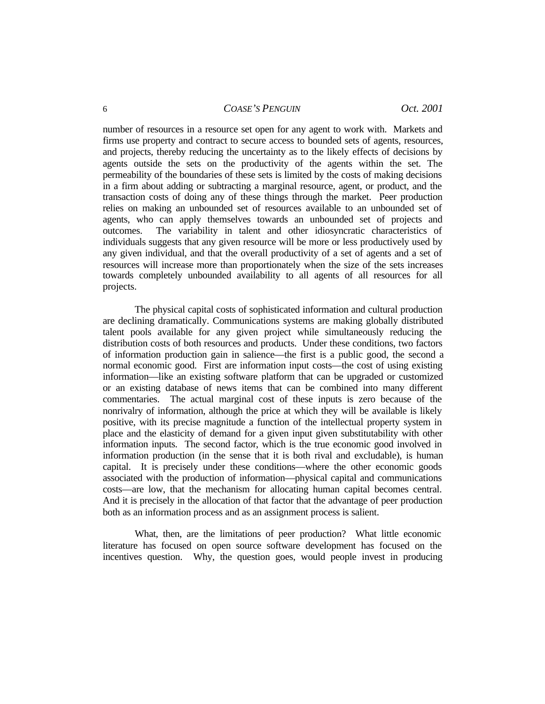number of resources in a resource set open for any agent to work with. Markets and firms use property and contract to secure access to bounded sets of agents, resources, and projects, thereby reducing the uncertainty as to the likely effects of decisions by agents outside the sets on the productivity of the agents within the set. The permeability of the boundaries of these sets is limited by the costs of making decisions in a firm about adding or subtracting a marginal resource, agent, or product, and the transaction costs of doing any of these things through the market. Peer production relies on making an unbounded set of resources available to an unbounded set of agents, who can apply themselves towards an unbounded set of projects and outcomes. The variability in talent and other idiosyncratic characteristics of individuals suggests that any given resource will be more or less productively used by any given individual, and that the overall productivity of a set of agents and a set of resources will increase more than proportionately when the size of the sets increases towards completely unbounded availability to all agents of all resources for all projects.

The physical capital costs of sophisticated information and cultural production are declining dramatically. Communications systems are making globally distributed talent pools available for any given project while simultaneously reducing the distribution costs of both resources and products. Under these conditions, two factors of information production gain in salience—the first is a public good, the second a normal economic good. First are information input costs—the cost of using existing information—like an existing software platform that can be upgraded or customized or an existing database of news items that can be combined into many different commentaries. The actual marginal cost of these inputs is zero because of the nonrivalry of information, although the price at which they will be available is likely positive, with its precise magnitude a function of the intellectual property system in place and the elasticity of demand for a given input given substitutability with other information inputs. The second factor, which is the true economic good involved in information production (in the sense that it is both rival and excludable), is human capital. It is precisely under these conditions—where the other economic goods associated with the production of information—physical capital and communications costs—are low, that the mechanism for allocating human capital becomes central. And it is precisely in the allocation of that factor that the advantage of peer production both as an information process and as an assignment process is salient.

What, then, are the limitations of peer production? What little economic literature has focused on open source software development has focused on the incentives question. Why, the question goes, would people invest in producing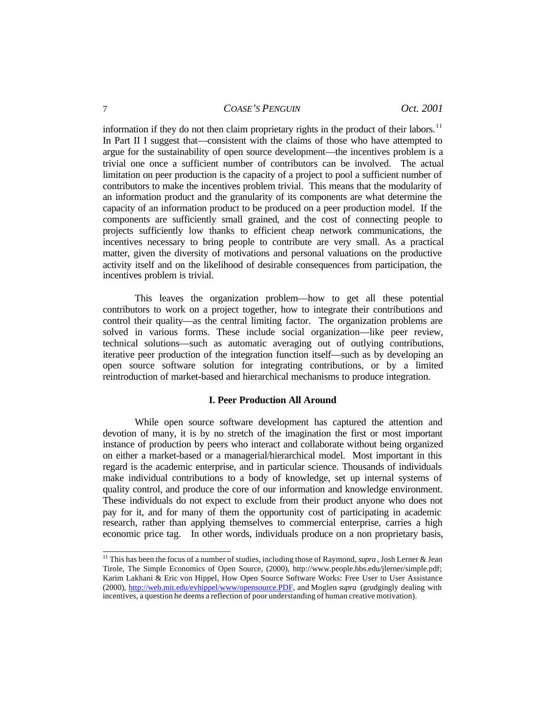information if they do not then claim proprietary rights in the product of their labors.<sup>11</sup> In Part II I suggest that—consistent with the claims of those who have attempted to argue for the sustainability of open source development—the incentives problem is a trivial one once a sufficient number of contributors can be involved. The actual limitation on peer production is the capacity of a project to pool a sufficient number of contributors to make the incentives problem trivial. This means that the modularity of an information product and the granularity of its components are what determine the capacity of an information product to be produced on a peer production model. If the components are sufficiently small grained, and the cost of connecting people to projects sufficiently low thanks to efficient cheap network communications, the incentives necessary to bring people to contribute are very small. As a practical matter, given the diversity of motivations and personal valuations on the productive activity itself and on the likelihood of desirable consequences from participation, the incentives problem is trivial.

This leaves the organization problem—how to get all these potential contributors to work on a project together, how to integrate their contributions and control their quality—as the central limiting factor. The organization problems are solved in various forms. These include social organization—like peer review, technical solutions—such as automatic averaging out of outlying contributions, iterative peer production of the integration function itself—such as by developing an open source software solution for integrating contributions, or by a limited reintroduction of market-based and hierarchical mechanisms to produce integration.

### **I. Peer Production All Around**

While open source software development has captured the attention and devotion of many, it is by no stretch of the imagination the first or most important instance of production by peers who interact and collaborate without being organized on either a market-based or a managerial/hierarchical model. Most important in this regard is the academic enterprise, and in particular science. Thousands of individuals make individual contributions to a body of knowledge, set up internal systems of quality control, and produce the core of our information and knowledge environment. These individuals do not expect to exclude from their product anyone who does not pay for it, and for many of them the opportunity cost of participating in academic research, rather than applying themselves to commercial enterprise, carries a high economic price tag. In other words, individuals produce on a non proprietary basis,

<sup>11</sup> This has been the focus of a number of studies, including those of Raymond, *supra* , Josh Lerner & Jean Tirole, The Simple Economics of Open Source, (2000), http://www.people.hbs.edu/jlerner/simple.pdf; Karim Lakhani & Eric von Hippel, How Open Source Software Works: Free User to User Assistance (2000), http://web.mit.edu/evhippel/www/opensource.PDF, and Moglen *supra* (grudgingly dealing with incentives, a question he deems a reflection of poor understanding of human creative motivation).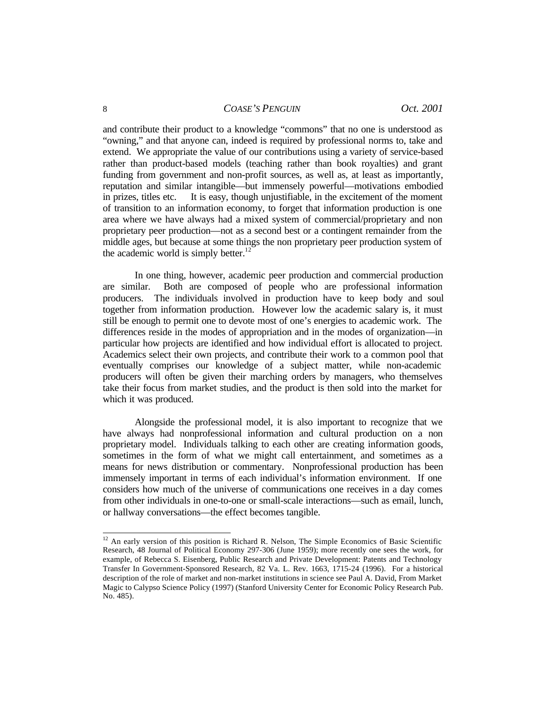and contribute their product to a knowledge "commons" that no one is understood as "owning," and that anyone can, indeed is required by professional norms to, take and extend. We appropriate the value of our contributions using a variety of service-based rather than product-based models (teaching rather than book royalties) and grant funding from government and non-profit sources, as well as, at least as importantly, reputation and similar intangible—but immensely powerful—motivations embodied in prizes, titles etc. It is easy, though unjustifiable, in the excitement of the moment of transition to an information economy, to forget that information production is one area where we have always had a mixed system of commercial/proprietary and non proprietary peer production—not as a second best or a contingent remainder from the middle ages, but because at some things the non proprietary peer production system of the academic world is simply better. $12$ 

In one thing, however, academic peer production and commercial production are similar. Both are composed of people who are professional information producers. The individuals involved in production have to keep body and soul together from information production. However low the academic salary is, it must still be enough to permit one to devote most of one's energies to academic work. The differences reside in the modes of appropriation and in the modes of organization—in particular how projects are identified and how individual effort is allocated to project. Academics select their own projects, and contribute their work to a common pool that eventually comprises our knowledge of a subject matter, while non-academic producers will often be given their marching orders by managers, who themselves take their focus from market studies, and the product is then sold into the market for which it was produced.

Alongside the professional model, it is also important to recognize that we have always had nonprofessional information and cultural production on a non proprietary model. Individuals talking to each other are creating information goods, sometimes in the form of what we might call entertainment, and sometimes as a means for news distribution or commentary. Nonprofessional production has been immensely important in terms of each individual's information environment. If one considers how much of the universe of communications one receives in a day comes from other individuals in one-to-one or small-scale interactions—such as email, lunch, or hallway conversations—the effect becomes tangible.

 $12$  An early version of this position is Richard R. Nelson, The Simple Economics of Basic Scientific Research, 48 Journal of Political Economy 297-306 (June 1959); more recently one sees the work, for example, of Rebecca S. Eisenberg, Public Research and Private Development: Patents and Technology Transfer In Government-Sponsored Research, 82 Va. L. Rev. 1663, 1715-24 (1996). For a historical description of the role of market and non-market institutions in science see Paul A. David, From Market Magic to Calypso Science Policy (1997) (Stanford University Center for Economic Policy Research Pub. No. 485).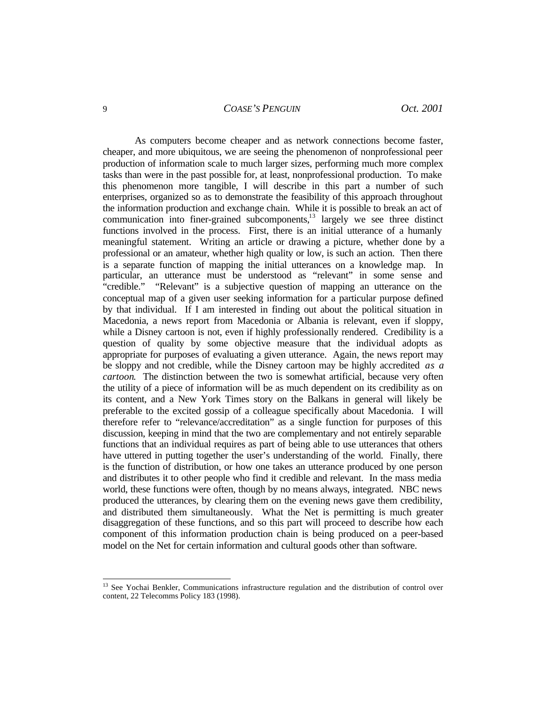As computers become cheaper and as network connections become faster, cheaper, and more ubiquitous, we are seeing the phenomenon of nonprofessional peer production of information scale to much larger sizes, performing much more complex tasks than were in the past possible for, at least, nonprofessional production. To make this phenomenon more tangible, I will describe in this part a number of such enterprises, organized so as to demonstrate the feasibility of this approach throughout the information production and exchange chain. While it is possible to break an act of communication into finer-grained subcomponents,<sup>13</sup> largely we see three distinct functions involved in the process. First, there is an initial utterance of a humanly meaningful statement. Writing an article or drawing a picture, whether done by a professional or an amateur, whether high quality or low, is such an action. Then there is a separate function of mapping the initial utterances on a knowledge map. In particular, an utterance must be understood as "relevant" in some sense and "credible." "Relevant" is a subjective question of mapping an utterance on the conceptual map of a given user seeking information for a particular purpose defined by that individual. If I am interested in finding out about the political situation in Macedonia, a news report from Macedonia or Albania is relevant, even if sloppy, while a Disney cartoon is not, even if highly professionally rendered. Credibility is a question of quality by some objective measure that the individual adopts as appropriate for purposes of evaluating a given utterance. Again, the news report may be sloppy and not credible, while the Disney cartoon may be highly accredited *as a cartoon*. The distinction between the two is somewhat artificial, because very often the utility of a piece of information will be as much dependent on its credibility as on its content, and a New York Times story on the Balkans in general will likely be preferable to the excited gossip of a colleague specifically about Macedonia. I will therefore refer to "relevance/accreditation" as a single function for purposes of this discussion, keeping in mind that the two are complementary and not entirely separable functions that an individual requires as part of being able to use utterances that others have uttered in putting together the user's understanding of the world. Finally, there is the function of distribution, or how one takes an utterance produced by one person and distributes it to other people who find it credible and relevant. In the mass media world, these functions were often, though by no means always, integrated. NBC news produced the utterances, by clearing them on the evening news gave them credibility, and distributed them simultaneously. What the Net is permitting is much greater disaggregation of these functions, and so this part will proceed to describe how each component of this information production chain is being produced on a peer-based model on the Net for certain information and cultural goods other than software.

<sup>&</sup>lt;sup>13</sup> See Yochai Benkler, Communications infrastructure regulation and the distribution of control over content, 22 Telecomms Policy 183 (1998).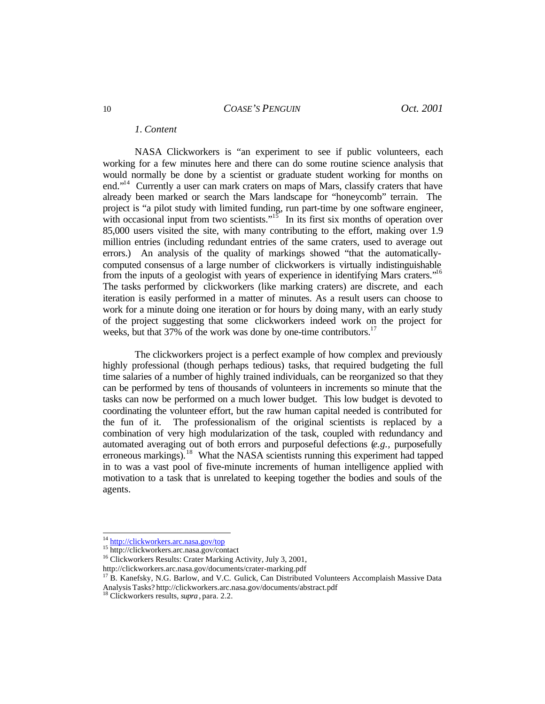### *1. Content*

NASA Clickworkers is "an experiment to see if public volunteers, each working for a few minutes here and there can do some routine science analysis that would normally be done by a scientist or graduate student working for months on end."<sup>14</sup> Currently a user can mark craters on maps of Mars, classify craters that have already been marked or search the Mars landscape for "honeycomb" terrain. The project is "a pilot study with limited funding, run part-time by one software engineer, with occasional input from two scientists."<sup>15</sup> In its first six months of operation over 85,000 users visited the site, with many contributing to the effort, making over 1.9 million entries (including redundant entries of the same craters, used to average out errors.) An analysis of the quality of markings showed "that the automaticallycomputed consensus of a large number of clickworkers is virtually indistinguishable from the inputs of a geologist with years of experience in identifying Mars craters."<sup>16</sup> The tasks performed by clickworkers (like marking craters) are discrete, and each iteration is easily performed in a matter of minutes. As a result users can choose to work for a minute doing one iteration or for hours by doing many, with an early study of the project suggesting that some clickworkers indeed work on the project for weeks, but that 37% of the work was done by one-time contributors.<sup>17</sup>

The clickworkers project is a perfect example of how complex and previously highly professional (though perhaps tedious) tasks, that required budgeting the full time salaries of a number of highly trained individuals, can be reorganized so that they can be performed by tens of thousands of volunteers in increments so minute that the tasks can now be performed on a much lower budget. This low budget is devoted to coordinating the volunteer effort, but the raw human capital needed is contributed for the fun of it. The professionalism of the original scientists is replaced by a combination of very high modularization of the task, coupled with redundancy and automated averaging out of both errors and purposeful defections (*e.g.,* purposefully erroneous markings).<sup>18</sup> What the NASA scientists running this experiment had tapped in to was a vast pool of five-minute increments of human intelligence applied with motivation to a task that is unrelated to keeping together the bodies and souls of the agents.

<sup>&</sup>lt;sup>14</sup> http://clickworkers.arc.nasa.gov/top

<sup>15</sup> http://clickworkers.arc.nasa.gov/contact

<sup>&</sup>lt;sup>16</sup> Clickworkers Results: Crater Marking Activity, July 3, 2001,

http://clickworkers.arc.nasa.gov/documents/crater-marking.pdf

<sup>&</sup>lt;sup>17</sup> B. Kanefsky, N.G. Barlow, and V.C. Gulick, Can Distributed Volunteers Accomplaish Massive Data Analysis Tasks? http://clickworkers.arc.nasa.gov/documents/abstract.pdf

<sup>18</sup> Clickworkers results, *supra* , para. 2.2.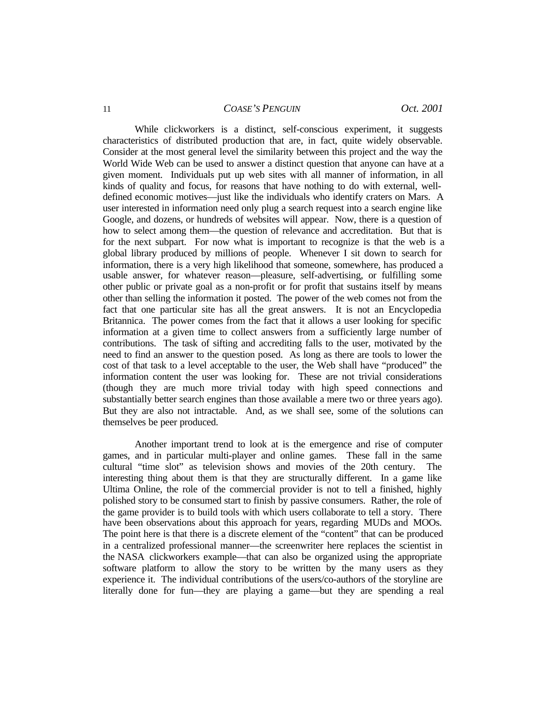While clickworkers is a distinct, self-conscious experiment, it suggests characteristics of distributed production that are, in fact, quite widely observable. Consider at the most general level the similarity between this project and the way the World Wide Web can be used to answer a distinct question that anyone can have at a given moment. Individuals put up web sites with all manner of information, in all kinds of quality and focus, for reasons that have nothing to do with external, welldefined economic motives—just like the individuals who identify craters on Mars. A user interested in information need only plug a search request into a search engine like Google, and dozens, or hundreds of websites will appear. Now, there is a question of how to select among them—the question of relevance and accreditation. But that is for the next subpart. For now what is important to recognize is that the web is a global library produced by millions of people. Whenever I sit down to search for information, there is a very high likelihood that someone, somewhere, has produced a usable answer, for whatever reason—pleasure, self-advertising, or fulfilling some other public or private goal as a non-profit or for profit that sustains itself by means other than selling the information it posted. The power of the web comes not from the fact that one particular site has all the great answers. It is not an Encyclopedia Britannica. The power comes from the fact that it allows a user looking for specific information at a given time to collect answers from a sufficiently large number of contributions. The task of sifting and accrediting falls to the user, motivated by the need to find an answer to the question posed. As long as there are tools to lower the cost of that task to a level acceptable to the user, the Web shall have "produced" the information content the user was looking for. These are not trivial considerations (though they are much more trivial today with high speed connections and substantially better search engines than those available a mere two or three years ago). But they are also not intractable. And, as we shall see, some of the solutions can themselves be peer produced.

Another important trend to look at is the emergence and rise of computer games, and in particular multi-player and online games. These fall in the same cultural "time slot" as television shows and movies of the 20th century. The interesting thing about them is that they are structurally different. In a game like Ultima Online, the role of the commercial provider is not to tell a finished, highly polished story to be consumed start to finish by passive consumers. Rather, the role of the game provider is to build tools with which users collaborate to tell a story. There have been observations about this approach for years, regarding MUDs and MOOs. The point here is that there is a discrete element of the "content" that can be produced in a centralized professional manner—the screenwriter here replaces the scientist in the NASA clickworkers example—that can also be organized using the appropriate software platform to allow the story to be written by the many users as they experience it. The individual contributions of the users/co-authors of the storyline are literally done for fun—they are playing a game—but they are spending a real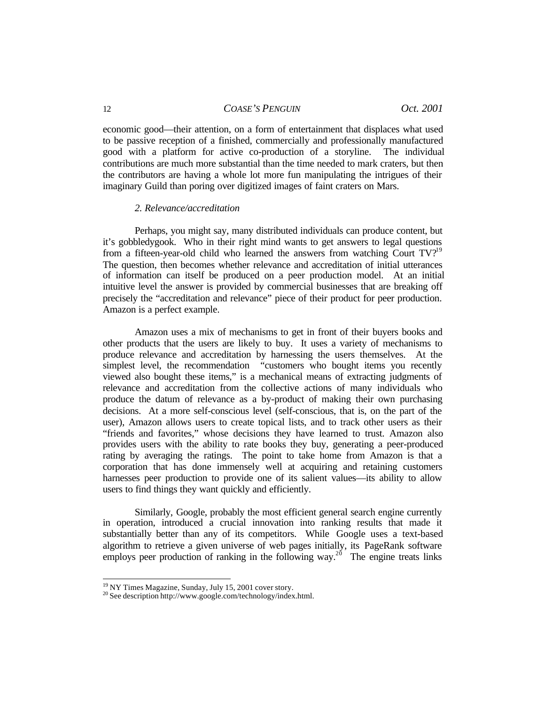economic good—their attention, on a form of entertainment that displaces what used to be passive reception of a finished, commercially and professionally manufactured good with a platform for active co-production of a storyline. The individual contributions are much more substantial than the time needed to mark craters, but then the contributors are having a whole lot more fun manipulating the intrigues of their imaginary Guild than poring over digitized images of faint craters on Mars.

#### *2. Relevance/accreditation*

Perhaps, you might say, many distributed individuals can produce content, but it's gobbledygook. Who in their right mind wants to get answers to legal questions from a fifteen-year-old child who learned the answers from watching Court  $TV^{\gamma^{19}}$ The question, then becomes whether relevance and accreditation of initial utterances of information can itself be produced on a peer production model. At an initial intuitive level the answer is provided by commercial businesses that are breaking off precisely the "accreditation and relevance" piece of their product for peer production. Amazon is a perfect example.

Amazon uses a mix of mechanisms to get in front of their buyers books and other products that the users are likely to buy. It uses a variety of mechanisms to produce relevance and accreditation by harnessing the users themselves. At the simplest level, the recommendation "customers who bought items you recently viewed also bought these items," is a mechanical means of extracting judgments of relevance and accreditation from the collective actions of many individuals who produce the datum of relevance as a by-product of making their own purchasing decisions. At a more self-conscious level (self-conscious, that is, on the part of the user), Amazon allows users to create topical lists, and to track other users as their "friends and favorites," whose decisions they have learned to trust. Amazon also provides users with the ability to rate books they buy, generating a peer-produced rating by averaging the ratings. The point to take home from Amazon is that a corporation that has done immensely well at acquiring and retaining customers harnesses peer production to provide one of its salient values—its ability to allow users to find things they want quickly and efficiently.

Similarly, Google, probably the most efficient general search engine currently in operation, introduced a crucial innovation into ranking results that made it substantially better than any of its competitors. While Google uses a text-based algorithm to retrieve a given universe of web pages initially, its PageRank software employs peer production of ranking in the following way.<sup>20</sup> The engine treats links

<sup>&</sup>lt;sup>19</sup> NY Times Magazine, Sunday, July 15, 2001 cover story.

<sup>20</sup> See description http://www.google.com/technology/index.html.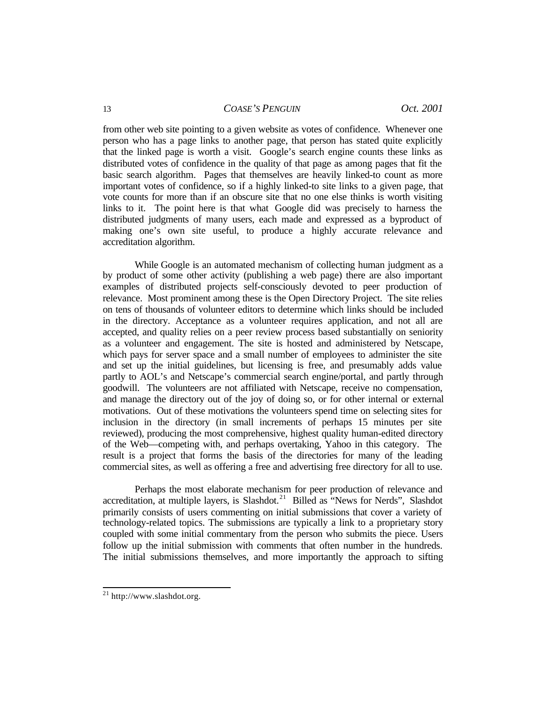from other web site pointing to a given website as votes of confidence. Whenever one person who has a page links to another page, that person has stated quite explicitly that the linked page is worth a visit. Google's search engine counts these links as distributed votes of confidence in the quality of that page as among pages that fit the basic search algorithm. Pages that themselves are heavily linked-to count as more important votes of confidence, so if a highly linked-to site links to a given page, that vote counts for more than if an obscure site that no one else thinks is worth visiting links to it. The point here is that what Google did was precisely to harness the distributed judgments of many users, each made and expressed as a byproduct of making one's own site useful, to produce a highly accurate relevance and accreditation algorithm.

While Google is an automated mechanism of collecting human judgment as a by product of some other activity (publishing a web page) there are also important examples of distributed projects self-consciously devoted to peer production of relevance. Most prominent among these is the Open Directory Project. The site relies on tens of thousands of volunteer editors to determine which links should be included in the directory. Acceptance as a volunteer requires application, and not all are accepted, and quality relies on a peer review process based substantially on seniority as a volunteer and engagement. The site is hosted and administered by Netscape, which pays for server space and a small number of employees to administer the site and set up the initial guidelines, but licensing is free, and presumably adds value partly to AOL's and Netscape's commercial search engine/portal, and partly through goodwill. The volunteers are not affiliated with Netscape, receive no compensation, and manage the directory out of the joy of doing so, or for other internal or external motivations. Out of these motivations the volunteers spend time on selecting sites for inclusion in the directory (in small increments of perhaps 15 minutes per site reviewed), producing the most comprehensive, highest quality human-edited directory of the Web—competing with, and perhaps overtaking, Yahoo in this category. The result is a project that forms the basis of the directories for many of the leading commercial sites, as well as offering a free and advertising free directory for all to use.

Perhaps the most elaborate mechanism for peer production of relevance and accreditation, at multiple layers, is Slashdot.<sup>21</sup> Billed as "News for Nerds", Slashdot primarily consists of users commenting on initial submissions that cover a variety of technology-related topics. The submissions are typically a link to a proprietary story coupled with some initial commentary from the person who submits the piece. Users follow up the initial submission with comments that often number in the hundreds. The initial submissions themselves, and more importantly the approach to sifting

 $\overline{\phantom{a}}$ 

 $^{21}$  http://www.slashdot.org.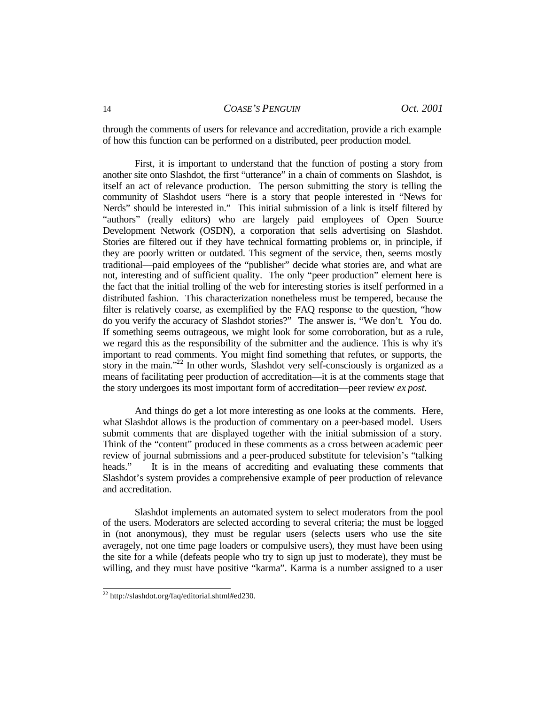through the comments of users for relevance and accreditation, provide a rich example of how this function can be performed on a distributed, peer production model.

First, it is important to understand that the function of posting a story from another site onto Slashdot, the first "utterance" in a chain of comments on Slashdot, is itself an act of relevance production. The person submitting the story is telling the community of Slashdot users "here is a story that people interested in "News for Nerds" should be interested in." This initial submission of a link is itself filtered by "authors" (really editors) who are largely paid employees of Open Source Development Network (OSDN), a corporation that sells advertising on Slashdot. Stories are filtered out if they have technical formatting problems or, in principle, if they are poorly written or outdated. This segment of the service, then, seems mostly traditional—paid employees of the "publisher" decide what stories are, and what are not, interesting and of sufficient quality. The only "peer production" element here is the fact that the initial trolling of the web for interesting stories is itself performed in a distributed fashion. This characterization nonetheless must be tempered, because the filter is relatively coarse, as exemplified by the FAQ response to the question, "how do you verify the accuracy of Slashdot stories?" The answer is, "We don't. You do. If something seems outrageous, we might look for some corroboration, but as a rule, we regard this as the responsibility of the submitter and the audience. This is why it's important to read comments. You might find something that refutes, or supports, the story in the main."<sup>22</sup> In other words, Slashdot very self-consciously is organized as a means of facilitating peer production of accreditation—it is at the comments stage that the story undergoes its most important form of accreditation—peer review *ex post*.

And things do get a lot more interesting as one looks at the comments. Here, what Slashdot allows is the production of commentary on a peer-based model. Users submit comments that are displayed together with the initial submission of a story. Think of the "content" produced in these comments as a cross between academic peer review of journal submissions and a peer-produced substitute for television's "talking heads." It is in the means of accrediting and evaluating these comments that Slashdot's system provides a comprehensive example of peer production of relevance and accreditation.

Slashdot implements an automated system to select moderators from the pool of the users. Moderators are selected according to several criteria; the must be logged in (not anonymous), they must be regular users (selects users who use the site averagely, not one time page loaders or compulsive users), they must have been using the site for a while (defeats people who try to sign up just to moderate), they must be willing, and they must have positive "karma". Karma is a number assigned to a user

<sup>&</sup>lt;sup>22</sup> http://slashdot.org/faq/editorial.shtml#ed230.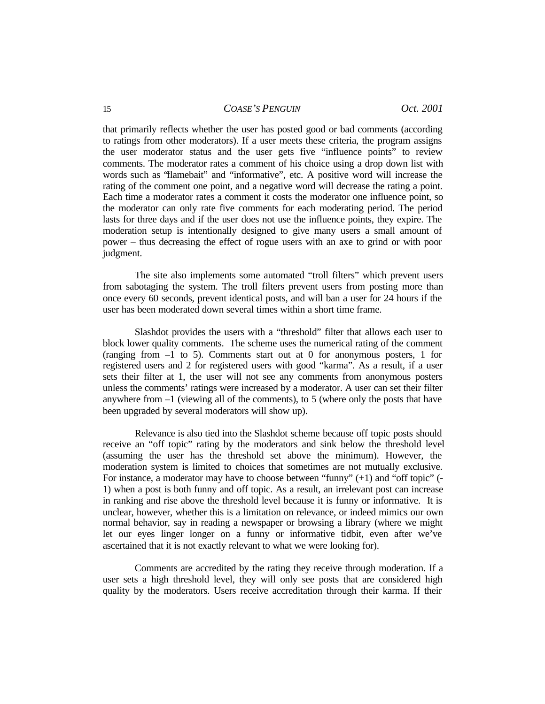that primarily reflects whether the user has posted good or bad comments (according to ratings from other moderators). If a user meets these criteria, the program assigns the user moderator status and the user gets five "influence points" to review comments. The moderator rates a comment of his choice using a drop down list with words such as "flamebait" and "informative", etc. A positive word will increase the rating of the comment one point, and a negative word will decrease the rating a point. Each time a moderator rates a comment it costs the moderator one influence point, so the moderator can only rate five comments for each moderating period. The period lasts for three days and if the user does not use the influence points, they expire. The moderation setup is intentionally designed to give many users a small amount of power – thus decreasing the effect of rogue users with an axe to grind or with poor judgment.

The site also implements some automated "troll filters" which prevent users from sabotaging the system. The troll filters prevent users from posting more than once every 60 seconds, prevent identical posts, and will ban a user for 24 hours if the user has been moderated down several times within a short time frame.

Slashdot provides the users with a "threshold" filter that allows each user to block lower quality comments. The scheme uses the numerical rating of the comment (ranging from  $-1$  to 5). Comments start out at 0 for anonymous posters, 1 for registered users and 2 for registered users with good "karma". As a result, if a user sets their filter at 1, the user will not see any comments from anonymous posters unless the comments' ratings were increased by a moderator. A user can set their filter anywhere from  $-1$  (viewing all of the comments), to 5 (where only the posts that have been upgraded by several moderators will show up).

Relevance is also tied into the Slashdot scheme because off topic posts should receive an "off topic" rating by the moderators and sink below the threshold level (assuming the user has the threshold set above the minimum). However, the moderation system is limited to choices that sometimes are not mutually exclusive. For instance, a moderator may have to choose between "funny" (+1) and "off topic" (- 1) when a post is both funny and off topic. As a result, an irrelevant post can increase in ranking and rise above the threshold level because it is funny or informative. It is unclear, however, whether this is a limitation on relevance, or indeed mimics our own normal behavior, say in reading a newspaper or browsing a library (where we might let our eyes linger longer on a funny or informative tidbit, even after we've ascertained that it is not exactly relevant to what we were looking for).

Comments are accredited by the rating they receive through moderation. If a user sets a high threshold level, they will only see posts that are considered high quality by the moderators. Users receive accreditation through their karma. If their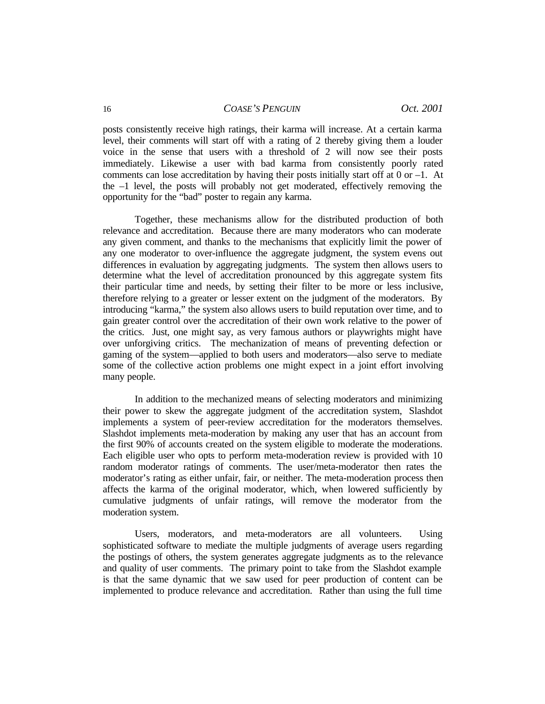posts consistently receive high ratings, their karma will increase. At a certain karma level, their comments will start off with a rating of 2 thereby giving them a louder voice in the sense that users with a threshold of 2 will now see their posts immediately. Likewise a user with bad karma from consistently poorly rated comments can lose accreditation by having their posts initially start off at 0 or –1. At the –1 level, the posts will probably not get moderated, effectively removing the opportunity for the "bad" poster to regain any karma.

Together, these mechanisms allow for the distributed production of both relevance and accreditation. Because there are many moderators who can moderate any given comment, and thanks to the mechanisms that explicitly limit the power of any one moderator to over-influence the aggregate judgment, the system evens out differences in evaluation by aggregating judgments. The system then allows users to determine what the level of accreditation pronounced by this aggregate system fits their particular time and needs, by setting their filter to be more or less inclusive, therefore relying to a greater or lesser extent on the judgment of the moderators. By introducing "karma," the system also allows users to build reputation over time, and to gain greater control over the accreditation of their own work relative to the power of the critics. Just, one might say, as very famous authors or playwrights might have over unforgiving critics. The mechanization of means of preventing defection or gaming of the system—applied to both users and moderators—also serve to mediate some of the collective action problems one might expect in a joint effort involving many people.

In addition to the mechanized means of selecting moderators and minimizing their power to skew the aggregate judgment of the accreditation system, Slashdot implements a system of peer-review accreditation for the moderators themselves. Slashdot implements meta-moderation by making any user that has an account from the first 90% of accounts created on the system eligible to moderate the moderations. Each eligible user who opts to perform meta-moderation review is provided with 10 random moderator ratings of comments. The user/meta-moderator then rates the moderator's rating as either unfair, fair, or neither. The meta-moderation process then affects the karma of the original moderator, which, when lowered sufficiently by cumulative judgments of unfair ratings, will remove the moderator from the moderation system.

Users, moderators, and meta-moderators are all volunteers. Using sophisticated software to mediate the multiple judgments of average users regarding the postings of others, the system generates aggregate judgments as to the relevance and quality of user comments. The primary point to take from the Slashdot example is that the same dynamic that we saw used for peer production of content can be implemented to produce relevance and accreditation. Rather than using the full time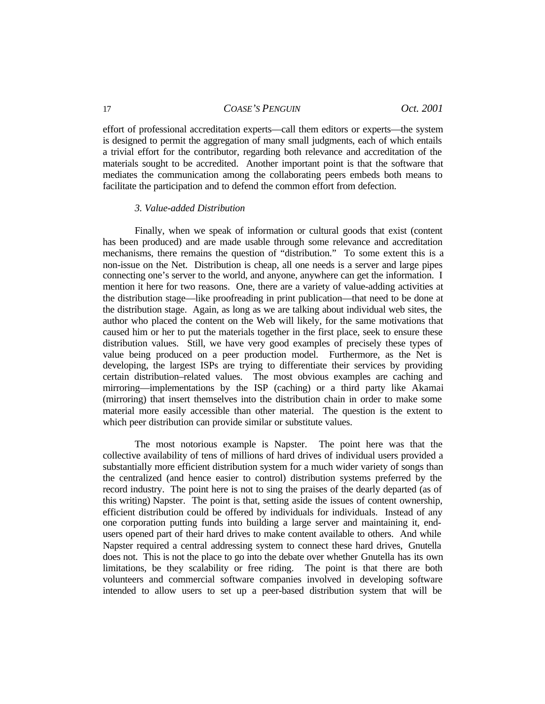effort of professional accreditation experts—call them editors or experts—the system is designed to permit the aggregation of many small judgments, each of which entails a trivial effort for the contributor, regarding both relevance and accreditation of the materials sought to be accredited. Another important point is that the software that mediates the communication among the collaborating peers embeds both means to facilitate the participation and to defend the common effort from defection.

#### *3. Value-added Distribution*

Finally, when we speak of information or cultural goods that exist (content has been produced) and are made usable through some relevance and accreditation mechanisms, there remains the question of "distribution." To some extent this is a non-issue on the Net. Distribution is cheap, all one needs is a server and large pipes connecting one's server to the world, and anyone, anywhere can get the information. I mention it here for two reasons. One, there are a variety of value-adding activities at the distribution stage—like proofreading in print publication—that need to be done at the distribution stage. Again, as long as we are talking about individual web sites, the author who placed the content on the Web will likely, for the same motivations that caused him or her to put the materials together in the first place, seek to ensure these distribution values. Still, we have very good examples of precisely these types of value being produced on a peer production model. Furthermore, as the Net is developing, the largest ISPs are trying to differentiate their services by providing certain distribution–related values. The most obvious examples are caching and mirroring—implementations by the ISP (caching) or a third party like Akamai (mirroring) that insert themselves into the distribution chain in order to make some material more easily accessible than other material. The question is the extent to which peer distribution can provide similar or substitute values.

The most notorious example is Napster. The point here was that the collective availability of tens of millions of hard drives of individual users provided a substantially more efficient distribution system for a much wider variety of songs than the centralized (and hence easier to control) distribution systems preferred by the record industry. The point here is not to sing the praises of the dearly departed (as of this writing) Napster. The point is that, setting aside the issues of content ownership, efficient distribution could be offered by individuals for individuals. Instead of any one corporation putting funds into building a large server and maintaining it, endusers opened part of their hard drives to make content available to others. And while Napster required a central addressing system to connect these hard drives, Gnutella does not. This is not the place to go into the debate over whether Gnutella has its own limitations, be they scalability or free riding. The point is that there are both volunteers and commercial software companies involved in developing software intended to allow users to set up a peer-based distribution system that will be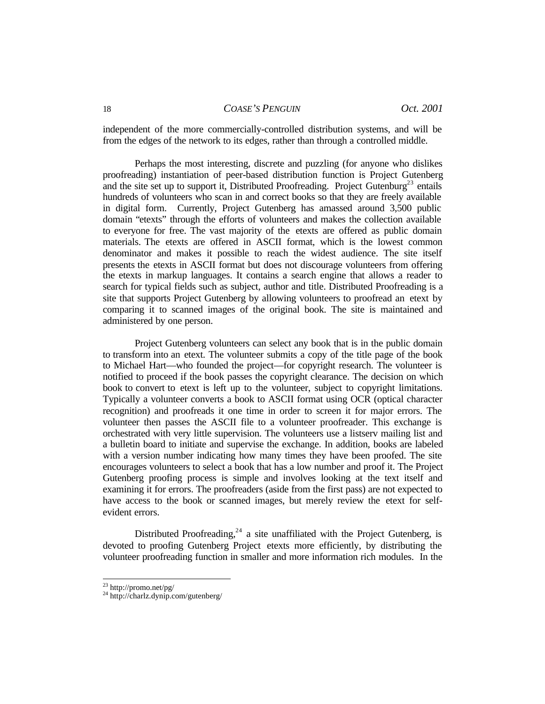independent of the more commercially-controlled distribution systems, and will be from the edges of the network to its edges, rather than through a controlled middle.

Perhaps the most interesting, discrete and puzzling (for anyone who dislikes proofreading) instantiation of peer-based distribution function is Project Gutenberg and the site set up to support it, Distributed Proofreading. Project Gutenburg<sup>23</sup> entails hundreds of volunteers who scan in and correct books so that they are freely available in digital form. Currently, Project Gutenberg has amassed around 3,500 public domain "etexts" through the efforts of volunteers and makes the collection available to everyone for free. The vast majority of the etexts are offered as public domain materials. The etexts are offered in ASCII format, which is the lowest common denominator and makes it possible to reach the widest audience. The site itself presents the etexts in ASCII format but does not discourage volunteers from offering the etexts in markup languages. It contains a search engine that allows a reader to search for typical fields such as subject, author and title. Distributed Proofreading is a site that supports Project Gutenberg by allowing volunteers to proofread an etext by comparing it to scanned images of the original book. The site is maintained and administered by one person.

Project Gutenberg volunteers can select any book that is in the public domain to transform into an etext. The volunteer submits a copy of the title page of the book to Michael Hart—who founded the project—for copyright research. The volunteer is notified to proceed if the book passes the copyright clearance. The decision on which book to convert to etext is left up to the volunteer, subject to copyright limitations. Typically a volunteer converts a book to ASCII format using OCR (optical character recognition) and proofreads it one time in order to screen it for major errors. The volunteer then passes the ASCII file to a volunteer proofreader. This exchange is orchestrated with very little supervision. The volunteers use a listserv mailing list and a bulletin board to initiate and supervise the exchange. In addition, books are labeled with a version number indicating how many times they have been proofed. The site encourages volunteers to select a book that has a low number and proof it. The Project Gutenberg proofing process is simple and involves looking at the text itself and examining it for errors. The proofreaders (aside from the first pass) are not expected to have access to the book or scanned images, but merely review the etext for selfevident errors.

Distributed Proofreading,  $24$  a site unaffiliated with the Project Gutenberg, is devoted to proofing Gutenberg Project etexts more efficiently, by distributing the volunteer proofreading function in smaller and more information rich modules. In the

<sup>&</sup>lt;sup>23</sup> http://promo.net/pg/

<sup>24</sup> http://charlz.dynip.com/gutenberg/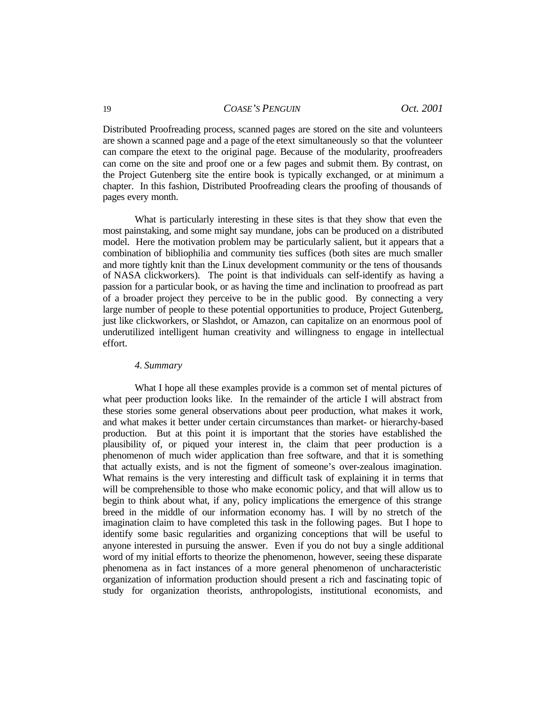Distributed Proofreading process, scanned pages are stored on the site and volunteers are shown a scanned page and a page of the etext simultaneously so that the volunteer can compare the etext to the original page. Because of the modularity, proofreaders can come on the site and proof one or a few pages and submit them. By contrast, on the Project Gutenberg site the entire book is typically exchanged, or at minimum a chapter. In this fashion, Distributed Proofreading clears the proofing of thousands of pages every month.

What is particularly interesting in these sites is that they show that even the most painstaking, and some might say mundane, jobs can be produced on a distributed model. Here the motivation problem may be particularly salient, but it appears that a combination of bibliophilia and community ties suffices (both sites are much smaller and more tightly knit than the Linux development community or the tens of thousands of NASA clickworkers). The point is that individuals can self-identify as having a passion for a particular book, or as having the time and inclination to proofread as part of a broader project they perceive to be in the public good. By connecting a very large number of people to these potential opportunities to produce, Project Gutenberg, just like clickworkers, or Slashdot, or Amazon, can capitalize on an enormous pool of underutilized intelligent human creativity and willingness to engage in intellectual effort.

### *4. Summary*

What I hope all these examples provide is a common set of mental pictures of what peer production looks like. In the remainder of the article I will abstract from these stories some general observations about peer production, what makes it work, and what makes it better under certain circumstances than market- or hierarchy-based production. But at this point it is important that the stories have established the plausibility of, or piqued your interest in, the claim that peer production is a phenomenon of much wider application than free software, and that it is something that actually exists, and is not the figment of someone's over-zealous imagination. What remains is the very interesting and difficult task of explaining it in terms that will be comprehensible to those who make economic policy, and that will allow us to begin to think about what, if any, policy implications the emergence of this strange breed in the middle of our information economy has. I will by no stretch of the imagination claim to have completed this task in the following pages. But I hope to identify some basic regularities and organizing conceptions that will be useful to anyone interested in pursuing the answer. Even if you do not buy a single additional word of my initial efforts to theorize the phenomenon, however, seeing these disparate phenomena as in fact instances of a more general phenomenon of uncharacteristic organization of information production should present a rich and fascinating topic of study for organization theorists, anthropologists, institutional economists, and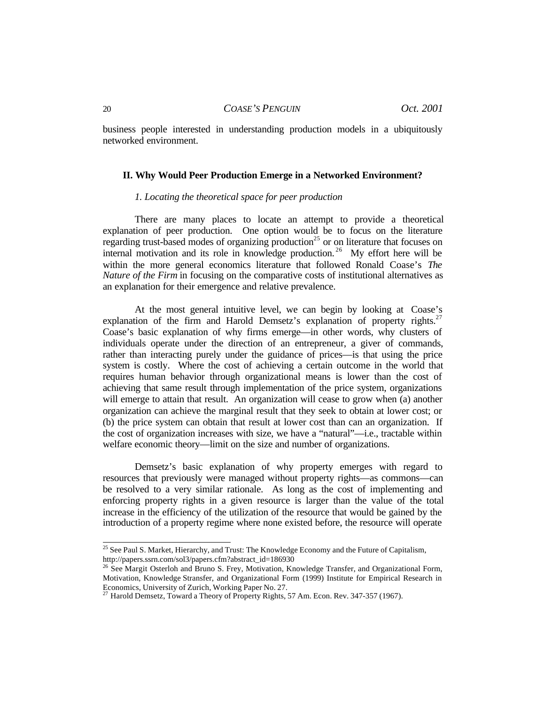business people interested in understanding production models in a ubiquitously networked environment.

# **II. Why Would Peer Production Emerge in a Networked Environment?**

### *1. Locating the theoretical space for peer production*

There are many places to locate an attempt to provide a theoretical explanation of peer production. One option would be to focus on the literature regarding trust-based modes of organizing production<sup>25</sup> or on literature that focuses on internal motivation and its role in knowledge production. <sup>26</sup> My effort here will be within the more general economics literature that followed Ronald Coase's *The Nature of the Firm* in focusing on the comparative costs of institutional alternatives as an explanation for their emergence and relative prevalence.

At the most general intuitive level, we can begin by looking at Coase's explanation of the firm and Harold Demsetz's explanation of property rights.<sup>27</sup> Coase's basic explanation of why firms emerge—in other words, why clusters of individuals operate under the direction of an entrepreneur, a giver of commands, rather than interacting purely under the guidance of prices—is that using the price system is costly. Where the cost of achieving a certain outcome in the world that requires human behavior through organizational means is lower than the cost of achieving that same result through implementation of the price system, organizations will emerge to attain that result. An organization will cease to grow when (a) another organization can achieve the marginal result that they seek to obtain at lower cost; or (b) the price system can obtain that result at lower cost than can an organization. If the cost of organization increases with size, we have a "natural"—i.e., tractable within welfare economic theory—limit on the size and number of organizations.

Demsetz's basic explanation of why property emerges with regard to resources that previously were managed without property rights—as commons—can be resolved to a very similar rationale. As long as the cost of implementing and enforcing property rights in a given resource is larger than the value of the total increase in the efficiency of the utilization of the resource that would be gained by the introduction of a property regime where none existed before, the resource will operate

<sup>&</sup>lt;sup>25</sup> See Paul S. Market, Hierarchy, and Trust: The Knowledge Economy and the Future of Capitalism, http://papers.ssrn.com/sol3/papers.cfm?abstract\_id=186930

 $^{26}$  See Margit Osterloh and Bruno S. Frey, Motivation, Knowledge Transfer, and Organizational Form, Motivation, Knowledge Stransfer, and Organizational Form (1999) Institute for Empirical Research in Economics, University of Zurich, Working Paper No. 27.

<sup>&</sup>lt;sup>27</sup> Harold Demsetz, Toward a Theory of Property Rights, 57 Am. Econ. Rev. 347-357 (1967).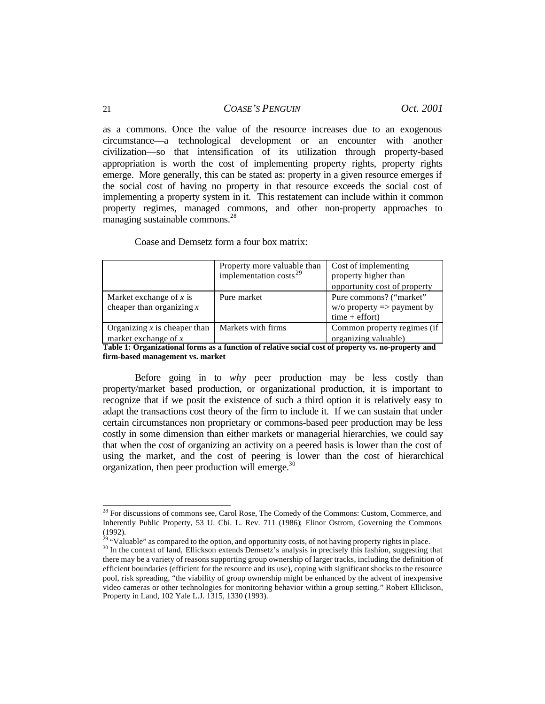as a commons. Once the value of the resource increases due to an exogenous circumstance—a technological development or an encounter with another civilization—so that intensification of its utilization through property-based appropriation is worth the cost of implementing property rights, property rights emerge. More generally, this can be stated as: property in a given resource emerges if the social cost of having no property in that resource exceeds the social cost of implementing a property system in it. This restatement can include within it common property regimes, managed commons, and other non-property approaches to managing sustainable commons.<sup>28</sup>

| Coase and Demsetz form a four box matrix: |  |  |  |  |  |  |
|-------------------------------------------|--|--|--|--|--|--|
|-------------------------------------------|--|--|--|--|--|--|

| Property more valuable than | Cost of implementing                                                                      |
|-----------------------------|-------------------------------------------------------------------------------------------|
|                             | property higher than                                                                      |
|                             | opportunity cost of property                                                              |
| Pure market                 | Pure commons? ("market"                                                                   |
|                             | $w/o$ property $\Rightarrow$ payment by                                                   |
|                             | $time + effort)$                                                                          |
| Markets with firms          | Common property regimes (if                                                               |
|                             | organizing valuable)                                                                      |
|                             | implementation $\cos(s^{29})$<br>$\sim$ $\sim$ $\sim$<br>$\cdot$ $\cdot$<br>$\sim$ $\sim$ |

**Table 1: Organizational forms as a function of relative social cost of property vs. no-property and firm-based management vs. market**

Before going in to *why* peer production may be less costly than property/market based production, or organizational production, it is important to recognize that if we posit the existence of such a third option it is relatively easy to adapt the transactions cost theory of the firm to include it. If we can sustain that under certain circumstances non proprietary or commons-based peer production may be less costly in some dimension than either markets or managerial hierarchies, we could say that when the cost of organizing an activity on a peered basis is lower than the cost of using the market, and the cost of peering is lower than the cost of hierarchical organization, then peer production will emerge.<sup>30</sup>

 $^{28}$  For discussions of commons see, Carol Rose, The Comedy of the Commons: Custom, Commerce, and Inherently Public Property, 53 U. Chi. L. Rev. 711 (1986); Elinor Ostrom, Governing the Commons (1992).

<sup>&</sup>lt;sup>29</sup> "Valuable" as compared to the option, and opportunity costs, of not having property rights in place.

<sup>&</sup>lt;sup>30</sup> In the context of land, Ellickson extends Demsetz's analysis in precisely this fashion, suggesting that there may be a variety of reasons supporting group ownership of larger tracks, including the definition of efficient boundaries (efficient for the resource and its use), coping with significant shocks to the resource pool, risk spreading, "the viability of group ownership might be enhanced by the advent of inexpensive video cameras or other technologies for monitoring behavior within a group setting." Robert Ellickson, Property in Land, 102 Yale L.J. 1315, 1330 (1993).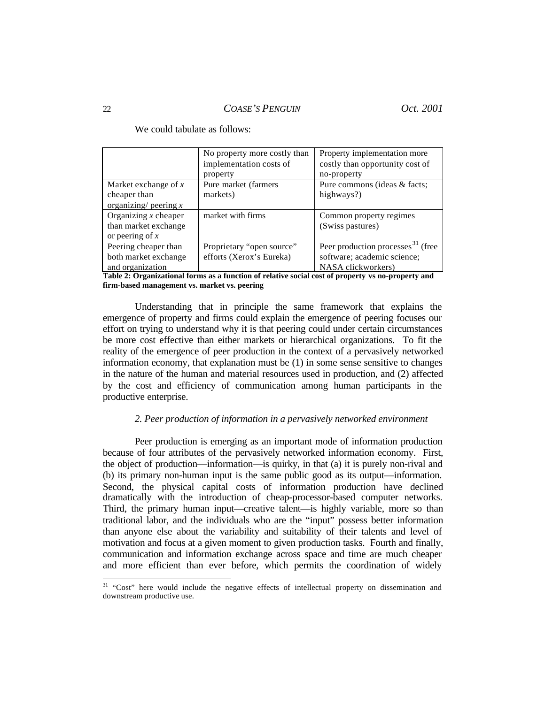|                                                                                                    | No property more costly than | Property implementation more         |  |  |  |
|----------------------------------------------------------------------------------------------------|------------------------------|--------------------------------------|--|--|--|
|                                                                                                    | implementation costs of      | costly than opportunity cost of      |  |  |  |
|                                                                                                    | property                     | no-property                          |  |  |  |
| Market exchange of $x$                                                                             | Pure market (farmers         | Pure commons (ideas & facts;         |  |  |  |
| cheaper than                                                                                       | markets)                     | highways?)                           |  |  |  |
| organizing/peering $x$                                                                             |                              |                                      |  |  |  |
| Organizing $x$ cheaper                                                                             | market with firms            | Common property regimes              |  |  |  |
| than market exchange                                                                               |                              | (Swiss pastures)                     |  |  |  |
| or peering of $x$                                                                                  |                              |                                      |  |  |  |
| Peering cheaper than                                                                               | Proprietary "open source"    | Peer production processes $31$ (free |  |  |  |
| both market exchange                                                                               | efforts (Xerox's Eureka)     | software; academic science;          |  |  |  |
| and organization                                                                                   |                              | NASA clickworkers)                   |  |  |  |
| Toble 2: Organizational forms as a function of relative social east of property vs no property and |                              |                                      |  |  |  |

We could tabulate as follows:

**Table 2: Organizational forms as a function of relative social cost of property vs no-property and firm-based management vs. market vs. peering**

Understanding that in principle the same framework that explains the emergence of property and firms could explain the emergence of peering focuses our effort on trying to understand why it is that peering could under certain circumstances be more cost effective than either markets or hierarchical organizations. To fit the reality of the emergence of peer production in the context of a pervasively networked information economy, that explanation must be (1) in some sense sensitive to changes in the nature of the human and material resources used in production, and (2) affected by the cost and efficiency of communication among human participants in the productive enterprise.

### *2. Peer production of information in a pervasively networked environment*

Peer production is emerging as an important mode of information production because of four attributes of the pervasively networked information economy. First, the object of production—information—is quirky, in that (a) it is purely non-rival and (b) its primary non-human input is the same public good as its output—information. Second, the physical capital costs of information production have declined dramatically with the introduction of cheap-processor-based computer networks. Third, the primary human input—creative talent—is highly variable, more so than traditional labor, and the individuals who are the "input" possess better information than anyone else about the variability and suitability of their talents and level of motivation and focus at a given moment to given production tasks. Fourth and finally, communication and information exchange across space and time are much cheaper and more efficient than ever before, which permits the coordination of widely

 $31$  "Cost" here would include the negative effects of intellectual property on dissemination and downstream productive use.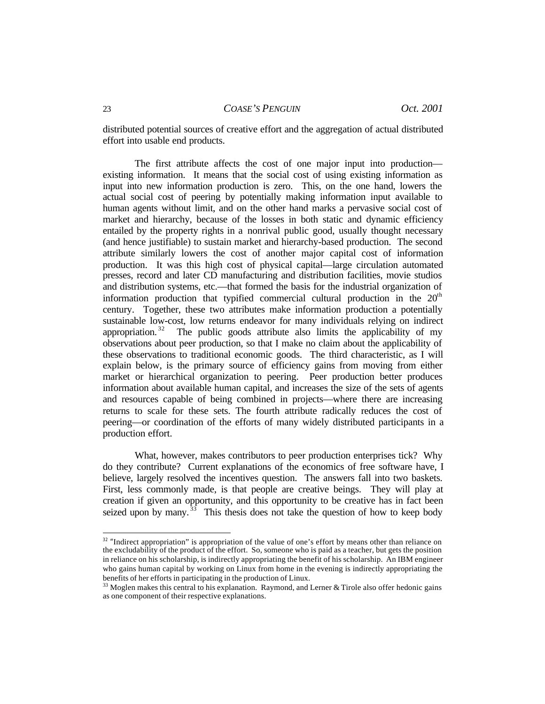distributed potential sources of creative effort and the aggregation of actual distributed effort into usable end products.

The first attribute affects the cost of one major input into production existing information. It means that the social cost of using existing information as input into new information production is zero. This, on the one hand, lowers the actual social cost of peering by potentially making information input available to human agents without limit, and on the other hand marks a pervasive social cost of market and hierarchy, because of the losses in both static and dynamic efficiency entailed by the property rights in a nonrival public good, usually thought necessary (and hence justifiable) to sustain market and hierarchy-based production. The second attribute similarly lowers the cost of another major capital cost of information production. It was this high cost of physical capital—large circulation automated presses, record and later CD manufacturing and distribution facilities, movie studios and distribution systems, etc.—that formed the basis for the industrial organization of information production that typified commercial cultural production in the  $20<sup>th</sup>$ century. Together, these two attributes make information production a potentially sustainable low-cost, low returns endeavor for many individuals relying on indirect appropriation.<sup>32</sup> The public goods attribute also limits the applicability of my observations about peer production, so that I make no claim about the applicability of these observations to traditional economic goods. The third characteristic, as I will explain below, is the primary source of efficiency gains from moving from either market or hierarchical organization to peering. Peer production better produces information about available human capital, and increases the size of the sets of agents and resources capable of being combined in projects—where there are increasing returns to scale for these sets. The fourth attribute radically reduces the cost of peering—or coordination of the efforts of many widely distributed participants in a production effort.

What, however, makes contributors to peer production enterprises tick? Why do they contribute? Current explanations of the economics of free software have, I believe, largely resolved the incentives question. The answers fall into two baskets. First, less commonly made, is that people are creative beings. They will play at creation if given an opportunity, and this opportunity to be creative has in fact been seized upon by many.  $33$  This thesis does not take the question of how to keep body

 $32$  "Indirect appropriation" is appropriation of the value of one's effort by means other than reliance on the excludability of the product of the effort. So, someone who is paid as a teacher, but gets the position in reliance on his scholarship, is indirectly appropriating the benefit of his scholarship. An IBM engineer who gains human capital by working on Linux from home in the evening is indirectly appropriating the benefits of her efforts in participating in the production of Linux.

<sup>&</sup>lt;sup>33</sup> Moglen makes this central to his explanation. Raymond, and Lerner & Tirole also offer hedonic gains as one component of their respective explanations.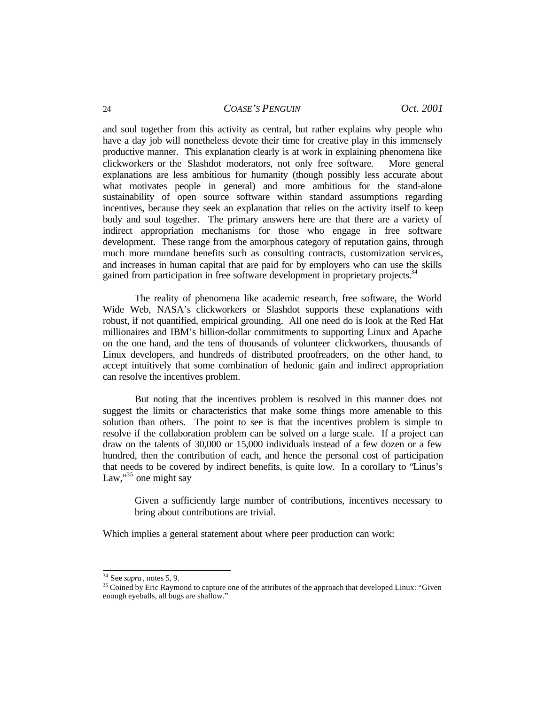and soul together from this activity as central, but rather explains why people who have a day job will nonetheless devote their time for creative play in this immensely productive manner. This explanation clearly is at work in explaining phenomena like clickworkers or the Slashdot moderators, not only free software. More general explanations are less ambitious for humanity (though possibly less accurate about what motivates people in general) and more ambitious for the stand-alone sustainability of open source software within standard assumptions regarding incentives, because they seek an explanation that relies on the activity itself to keep body and soul together. The primary answers here are that there are a variety of indirect appropriation mechanisms for those who engage in free software development. These range from the amorphous category of reputation gains, through much more mundane benefits such as consulting contracts, customization services, and increases in human capital that are paid for by employers who can use the skills gained from participation in free software development in proprietary projects.<sup>34</sup>

The reality of phenomena like academic research, free software, the World Wide Web, NASA's clickworkers or Slashdot supports these explanations with robust, if not quantified, empirical grounding. All one need do is look at the Red Hat millionaires and IBM's billion-dollar commitments to supporting Linux and Apache on the one hand, and the tens of thousands of volunteer clickworkers, thousands of Linux developers, and hundreds of distributed proofreaders, on the other hand, to accept intuitively that some combination of hedonic gain and indirect appropriation can resolve the incentives problem.

But noting that the incentives problem is resolved in this manner does not suggest the limits or characteristics that make some things more amenable to this solution than others. The point to see is that the incentives problem is simple to resolve if the collaboration problem can be solved on a large scale. If a project can draw on the talents of 30,000 or 15,000 individuals instead of a few dozen or a few hundred, then the contribution of each, and hence the personal cost of participation that needs to be covered by indirect benefits, is quite low. In a corollary to "Linus's Law," $35$  one might say

Given a sufficiently large number of contributions, incentives necessary to bring about contributions are trivial.

Which implies a general statement about where peer production can work:

<sup>34</sup> See *supra* , notes 5, 9.

<sup>&</sup>lt;sup>35</sup> Coined by Eric Raymond to capture one of the attributes of the approach that developed Linux: "Given enough eyeballs, all bugs are shallow."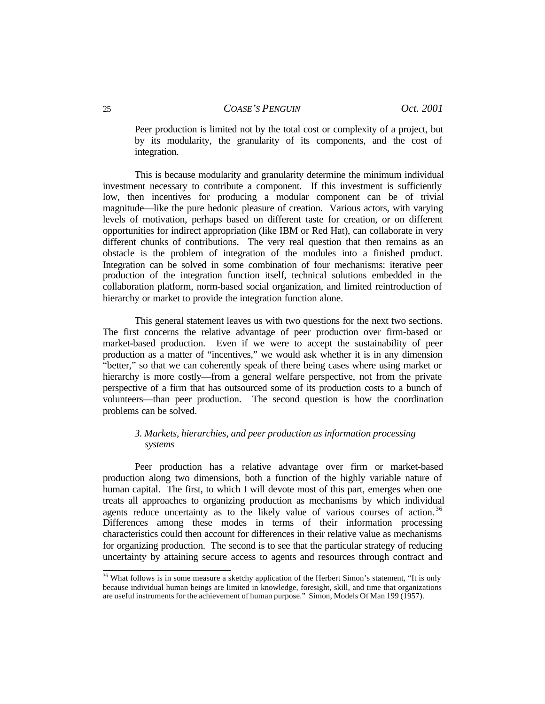Peer production is limited not by the total cost or complexity of a project, but by its modularity, the granularity of its components, and the cost of integration.

This is because modularity and granularity determine the minimum individual investment necessary to contribute a component. If this investment is sufficiently low, then incentives for producing a modular component can be of trivial magnitude—like the pure hedonic pleasure of creation. Various actors, with varying levels of motivation, perhaps based on different taste for creation, or on different opportunities for indirect appropriation (like IBM or Red Hat), can collaborate in very different chunks of contributions. The very real question that then remains as an obstacle is the problem of integration of the modules into a finished product. Integration can be solved in some combination of four mechanisms: iterative peer production of the integration function itself, technical solutions embedded in the collaboration platform, norm-based social organization, and limited reintroduction of hierarchy or market to provide the integration function alone.

This general statement leaves us with two questions for the next two sections. The first concerns the relative advantage of peer production over firm-based or market-based production. Even if we were to accept the sustainability of peer production as a matter of "incentives," we would ask whether it is in any dimension "better," so that we can coherently speak of there being cases where using market or hierarchy is more costly—from a general welfare perspective, not from the private perspective of a firm that has outsourced some of its production costs to a bunch of volunteers—than peer production. The second question is how the coordination problems can be solved.

# *3. Markets, hierarchies, and peer production as information processing systems*

Peer production has a relative advantage over firm or market-based production along two dimensions, both a function of the highly variable nature of human capital. The first, to which I will devote most of this part, emerges when one treats all approaches to organizing production as mechanisms by which individual agents reduce uncertainty as to the likely value of various courses of action.<sup>36</sup> Differences among these modes in terms of their information processing characteristics could then account for differences in their relative value as mechanisms for organizing production. The second is to see that the particular strategy of reducing uncertainty by attaining secure access to agents and resources through contract and

<sup>&</sup>lt;sup>36</sup> What follows is in some measure a sketchy application of the Herbert Simon's statement, "It is only because individual human beings are limited in knowledge, foresight, skill, and time that organizations are useful instruments for the achievement of human purpose." Simon, Models Of Man 199 (1957).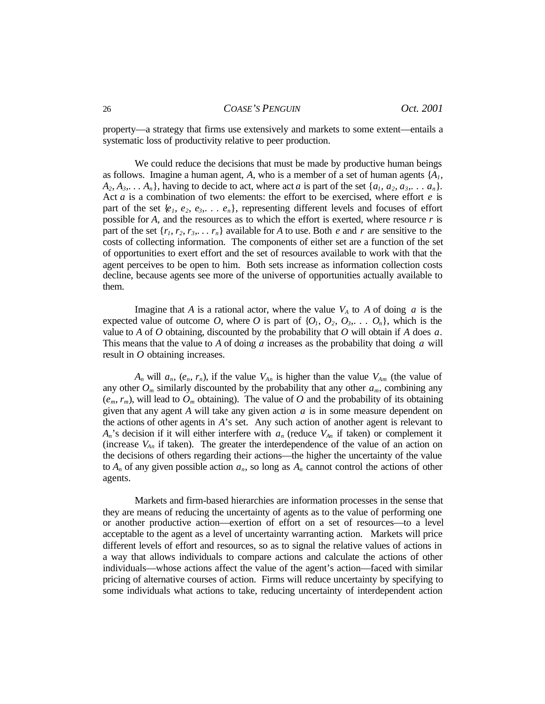property—a strategy that firms use extensively and markets to some extent—entails a systematic loss of productivity relative to peer production.

We could reduce the decisions that must be made by productive human beings as follows. Imagine a human agent,  $A$ , who is a member of a set of human agents  ${A<sub>i</sub>}$ ,  $A_2, A_3, \ldots, A_n$ , having to decide to act, where act *a* is part of the set  $\{a_1, a_2, a_3, \ldots, a_n\}$ . Act *a* is a combination of two elements: the effort to be exercised, where effort *e* is part of the set  $\{e_1, e_2, e_3, \ldots, e_n\}$ , representing different levels and focuses of effort possible for *A*, and the resources as to which the effort is exerted, where resource *r* is part of the set  $\{r_1, r_2, r_3, \ldots, r_n\}$  available for *A* to use. Both *e* and *r* are sensitive to the costs of collecting information. The components of either set are a function of the set of opportunities to exert effort and the set of resources available to work with that the agent perceives to be open to him. Both sets increase as information collection costs decline, because agents see more of the universe of opportunities actually available to them.

Imagine that *A* is a rational actor, where the value  $V_A$  to *A* of doing *a* is the expected value of outcome *O*, where *O* is part of  $\{O_i, O_2, O_3, \ldots, O_n\}$ , which is the value to *A* of *O* obtaining, discounted by the probability that *O* will obtain if *A* does *a*. This means that the value to *A* of doing *a* increases as the probability that doing *a* will result in *O* obtaining increases.

*A<sub>n</sub>* will  $a_n$ ,  $(e_n, r_n)$ , if the value  $V_{An}$  is higher than the value  $V_{Am}$  (the value of any other  $O_m$  similarly discounted by the probability that any other  $a_m$ , combining any  $(e_m, r_m)$ , will lead to  $O_m$  obtaining). The value of  $O$  and the probability of its obtaining given that any agent *A* will take any given action *a* is in some measure dependent on the actions of other agents in *A*'s set. Any such action of another agent is relevant to  $A_n$ 's decision if it will either interfere with  $a_n$  (reduce  $V_{An}$  if taken) or complement it (increase  $V_{An}$  if taken). The greater the interdependence of the value of an action on the decisions of others regarding their actions—the higher the uncertainty of the value to  $A_n$  of any given possible action  $a_n$ , so long as  $A_n$  cannot control the actions of other agents.

Markets and firm-based hierarchies are information processes in the sense that they are means of reducing the uncertainty of agents as to the value of performing one or another productive action—exertion of effort on a set of resources—to a level acceptable to the agent as a level of uncertainty warranting action. Markets will price different levels of effort and resources, so as to signal the relative values of actions in a way that allows individuals to compare actions and calculate the actions of other individuals—whose actions affect the value of the agent's action—faced with similar pricing of alternative courses of action. Firms will reduce uncertainty by specifying to some individuals what actions to take, reducing uncertainty of interdependent action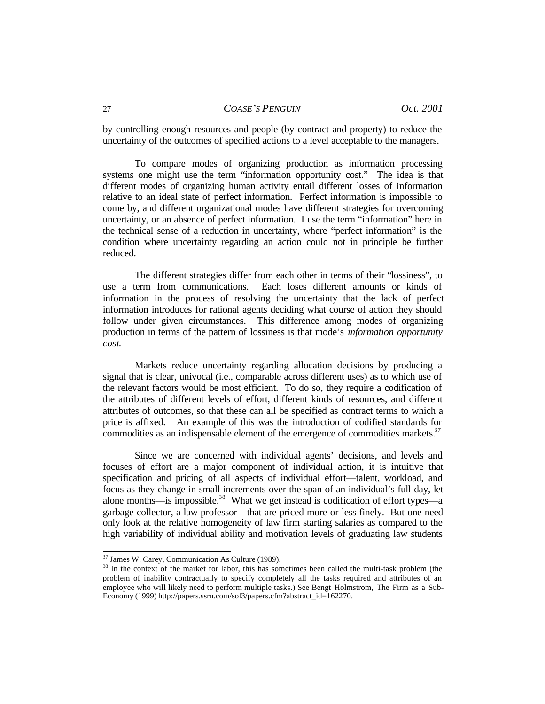by controlling enough resources and people (by contract and property) to reduce the uncertainty of the outcomes of specified actions to a level acceptable to the managers.

To compare modes of organizing production as information processing systems one might use the term "information opportunity cost." The idea is that different modes of organizing human activity entail different losses of information relative to an ideal state of perfect information. Perfect information is impossible to come by, and different organizational modes have different strategies for overcoming uncertainty, or an absence of perfect information. I use the term "information" here in the technical sense of a reduction in uncertainty, where "perfect information" is the condition where uncertainty regarding an action could not in principle be further reduced.

The different strategies differ from each other in terms of their "lossiness", to use a term from communications. Each loses different amounts or kinds of information in the process of resolving the uncertainty that the lack of perfect information introduces for rational agents deciding what course of action they should follow under given circumstances. This difference among modes of organizing production in terms of the pattern of lossiness is that mode's *information opportunity cost*.

Markets reduce uncertainty regarding allocation decisions by producing a signal that is clear, univocal (i.e., comparable across different uses) as to which use of the relevant factors would be most efficient. To do so, they require a codification of the attributes of different levels of effort, different kinds of resources, and different attributes of outcomes, so that these can all be specified as contract terms to which a price is affixed. An example of this was the introduction of codified standards for commodities as an indispensable element of the emergence of commodities markets.<sup>37</sup>

Since we are concerned with individual agents' decisions, and levels and focuses of effort are a major component of individual action, it is intuitive that specification and pricing of all aspects of individual effort—talent, workload, and focus as they change in small increments over the span of an individual's full day, let alone months—is impossible.<sup>38</sup> What we get instead is codification of effort types—a garbage collector, a law professor—that are priced more-or-less finely. But one need only look at the relative homogeneity of law firm starting salaries as compared to the high variability of individual ability and motivation levels of graduating law students

<sup>&</sup>lt;sup>37</sup> James W. Carey, Communication As Culture (1989).

<sup>&</sup>lt;sup>38</sup> In the context of the market for labor, this has sometimes been called the multi-task problem (the problem of inability contractually to specify completely all the tasks required and attributes of an employee who will likely need to perform multiple tasks.) See Bengt Holmstrom, The Firm as a Sub-Economy (1999) http://papers.ssrn.com/sol3/papers.cfm?abstract\_id=162270.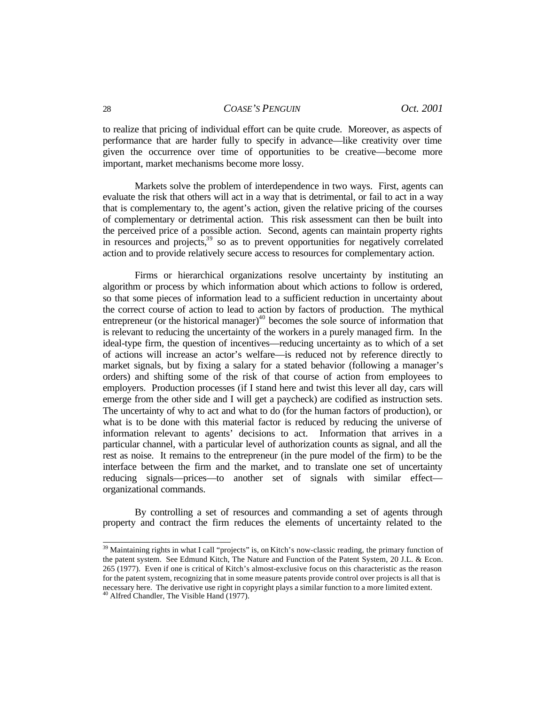to realize that pricing of individual effort can be quite crude. Moreover, as aspects of performance that are harder fully to specify in advance—like creativity over time given the occurrence over time of opportunities to be creative—become more important, market mechanisms become more lossy.

Markets solve the problem of interdependence in two ways. First, agents can evaluate the risk that others will act in a way that is detrimental, or fail to act in a way that is complementary to, the agent's action, given the relative pricing of the courses of complementary or detrimental action. This risk assessment can then be built into the perceived price of a possible action. Second, agents can maintain property rights in resources and projects, $39$  so as to prevent opportunities for negatively correlated action and to provide relatively secure access to resources for complementary action.

Firms or hierarchical organizations resolve uncertainty by instituting an algorithm or process by which information about which actions to follow is ordered, so that some pieces of information lead to a sufficient reduction in uncertainty about the correct course of action to lead to action by factors of production. The mythical entrepreneur (or the historical manager)<sup>40</sup> becomes the sole source of information that is relevant to reducing the uncertainty of the workers in a purely managed firm. In the ideal-type firm, the question of incentives—reducing uncertainty as to which of a set of actions will increase an actor's welfare—is reduced not by reference directly to market signals, but by fixing a salary for a stated behavior (following a manager's orders) and shifting some of the risk of that course of action from employees to employers. Production processes (if I stand here and twist this lever all day, cars will emerge from the other side and I will get a paycheck) are codified as instruction sets. The uncertainty of why to act and what to do (for the human factors of production), or what is to be done with this material factor is reduced by reducing the universe of information relevant to agents' decisions to act. Information that arrives in a particular channel, with a particular level of authorization counts as signal, and all the rest as noise. It remains to the entrepreneur (in the pure model of the firm) to be the interface between the firm and the market, and to translate one set of uncertainty reducing signals—prices—to another set of signals with similar effect organizational commands.

By controlling a set of resources and commanding a set of agents through property and contract the firm reduces the elements of uncertainty related to the

 $39$  Maintaining rights in what I call "projects" is, on Kitch's now-classic reading, the primary function of the patent system. See Edmund Kitch, The Nature and Function of the Patent System, 20 J.L. & Econ. 265 (1977). Even if one is critical of Kitch's almost-exclusive focus on this characteristic as the reason for the patent system, recognizing that in some measure patents provide control over projects is all that is necessary here. The derivative use right in copyright plays a similar function to a more limited extent. <sup>40</sup> Alfred Chandler, The Visible Hand (1977).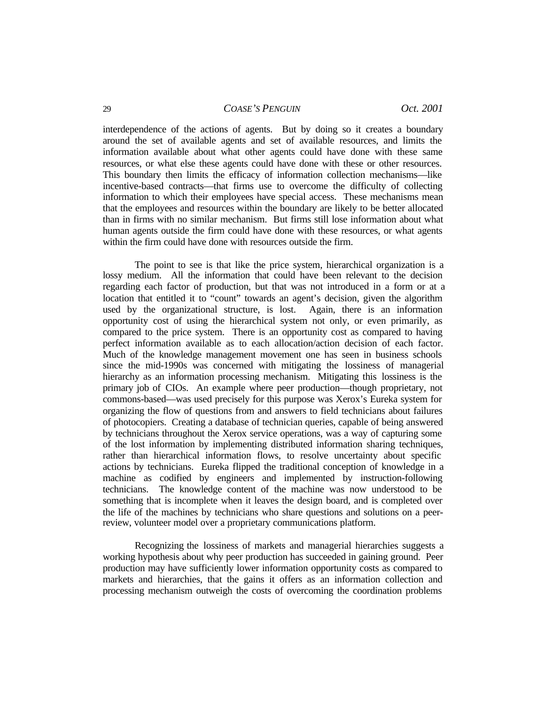interdependence of the actions of agents. But by doing so it creates a boundary around the set of available agents and set of available resources, and limits the information available about what other agents could have done with these same resources, or what else these agents could have done with these or other resources. This boundary then limits the efficacy of information collection mechanisms—like incentive-based contracts—that firms use to overcome the difficulty of collecting information to which their employees have special access. These mechanisms mean that the employees and resources within the boundary are likely to be better allocated than in firms with no similar mechanism. But firms still lose information about what human agents outside the firm could have done with these resources, or what agents within the firm could have done with resources outside the firm.

The point to see is that like the price system, hierarchical organization is a lossy medium. All the information that could have been relevant to the decision regarding each factor of production, but that was not introduced in a form or at a location that entitled it to "count" towards an agent's decision, given the algorithm used by the organizational structure, is lost. Again, there is an information opportunity cost of using the hierarchical system not only, or even primarily, as compared to the price system. There is an opportunity cost as compared to having perfect information available as to each allocation/action decision of each factor. Much of the knowledge management movement one has seen in business schools since the mid-1990s was concerned with mitigating the lossiness of managerial hierarchy as an information processing mechanism. Mitigating this lossiness is the primary job of CIOs. An example where peer production—though proprietary, not commons-based—was used precisely for this purpose was Xerox's Eureka system for organizing the flow of questions from and answers to field technicians about failures of photocopiers. Creating a database of technician queries, capable of being answered by technicians throughout the Xerox service operations, was a way of capturing some of the lost information by implementing distributed information sharing techniques, rather than hierarchical information flows, to resolve uncertainty about specific actions by technicians. Eureka flipped the traditional conception of knowledge in a machine as codified by engineers and implemented by instruction-following technicians. The knowledge content of the machine was now understood to be something that is incomplete when it leaves the design board, and is completed over the life of the machines by technicians who share questions and solutions on a peerreview, volunteer model over a proprietary communications platform.

Recognizing the lossiness of markets and managerial hierarchies suggests a working hypothesis about why peer production has succeeded in gaining ground. Peer production may have sufficiently lower information opportunity costs as compared to markets and hierarchies, that the gains it offers as an information collection and processing mechanism outweigh the costs of overcoming the coordination problems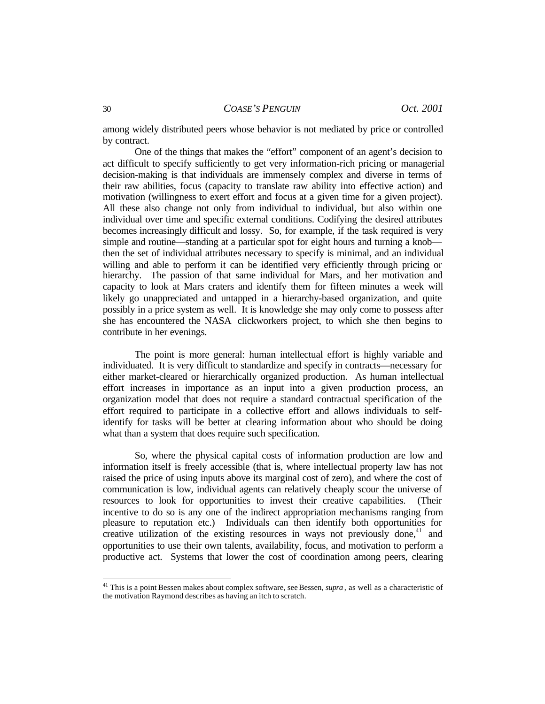among widely distributed peers whose behavior is not mediated by price or controlled by contract.

One of the things that makes the "effort" component of an agent's decision to act difficult to specify sufficiently to get very information-rich pricing or managerial decision-making is that individuals are immensely complex and diverse in terms of their raw abilities, focus (capacity to translate raw ability into effective action) and motivation (willingness to exert effort and focus at a given time for a given project). All these also change not only from individual to individual, but also within one individual over time and specific external conditions. Codifying the desired attributes becomes increasingly difficult and lossy. So, for example, if the task required is very simple and routine—standing at a particular spot for eight hours and turning a knob then the set of individual attributes necessary to specify is minimal, and an individual willing and able to perform it can be identified very efficiently through pricing or hierarchy. The passion of that same individual for Mars, and her motivation and capacity to look at Mars craters and identify them for fifteen minutes a week will likely go unappreciated and untapped in a hierarchy-based organization, and quite possibly in a price system as well. It is knowledge she may only come to possess after she has encountered the NASA clickworkers project, to which she then begins to contribute in her evenings.

The point is more general: human intellectual effort is highly variable and individuated. It is very difficult to standardize and specify in contracts—necessary for either market-cleared or hierarchically organized production. As human intellectual effort increases in importance as an input into a given production process, an organization model that does not require a standard contractual specification of the effort required to participate in a collective effort and allows individuals to selfidentify for tasks will be better at clearing information about who should be doing what than a system that does require such specification.

So, where the physical capital costs of information production are low and information itself is freely accessible (that is, where intellectual property law has not raised the price of using inputs above its marginal cost of zero), and where the cost of communication is low, individual agents can relatively cheaply scour the universe of resources to look for opportunities to invest their creative capabilities. (Their incentive to do so is any one of the indirect appropriation mechanisms ranging from pleasure to reputation etc.) Individuals can then identify both opportunities for creative utilization of the existing resources in ways not previously done,  $41$  and opportunities to use their own talents, availability, focus, and motivation to perform a productive act. Systems that lower the cost of coordination among peers, clearing

<sup>41</sup> This is a point Bessen makes about complex software, see Bessen, *supra* , as well as a characteristic of the motivation Raymond describes as having an itch to scratch.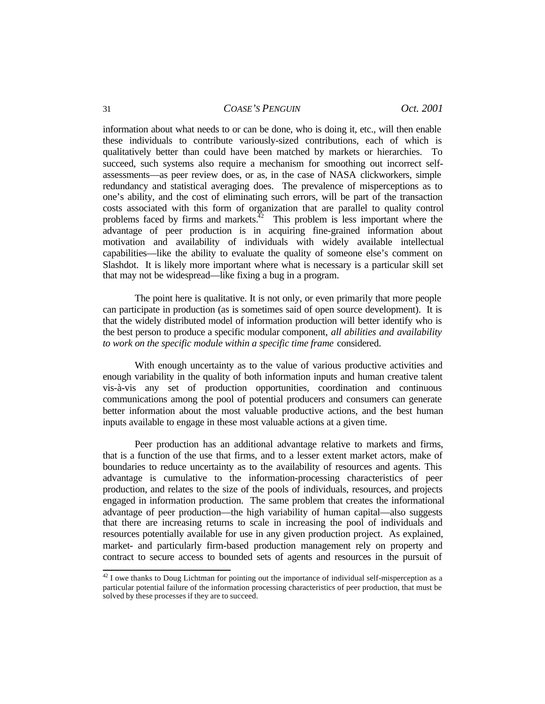information about what needs to or can be done, who is doing it, etc., will then enable these individuals to contribute variously-sized contributions, each of which is qualitatively better than could have been matched by markets or hierarchies. To succeed, such systems also require a mechanism for smoothing out incorrect selfassessments—as peer review does, or as, in the case of NASA clickworkers, simple redundancy and statistical averaging does. The prevalence of misperceptions as to one's ability, and the cost of eliminating such errors, will be part of the transaction costs associated with this form of organization that are parallel to quality control problems faced by firms and markets.<sup> $42$ </sup> This problem is less important where the advantage of peer production is in acquiring fine-grained information about motivation and availability of individuals with widely available intellectual capabilities—like the ability to evaluate the quality of someone else's comment on Slashdot. It is likely more important where what is necessary is a particular skill set that may not be widespread—like fixing a bug in a program.

The point here is qualitative. It is not only, or even primarily that more people can participate in production (as is sometimes said of open source development). It is that the widely distributed model of information production will better identify who is the best person to produce a specific modular component, *all abilities and availability to work on the specific module within a specific time frame* considered.

With enough uncertainty as to the value of various productive activities and enough variability in the quality of both information inputs and human creative talent vis-à-vis any set of production opportunities, coordination and continuous communications among the pool of potential producers and consumers can generate better information about the most valuable productive actions, and the best human inputs available to engage in these most valuable actions at a given time.

Peer production has an additional advantage relative to markets and firms, that is a function of the use that firms, and to a lesser extent market actors, make of boundaries to reduce uncertainty as to the availability of resources and agents. This advantage is cumulative to the information-processing characteristics of peer production, and relates to the size of the pools of individuals, resources, and projects engaged in information production. The same problem that creates the informational advantage of peer production—the high variability of human capital—also suggests that there are increasing returns to scale in increasing the pool of individuals and resources potentially available for use in any given production project. As explained, market- and particularly firm-based production management rely on property and contract to secure access to bounded sets of agents and resources in the pursuit of

 $42$  I owe thanks to Doug Lichtman for pointing out the importance of individual self-misperception as a particular potential failure of the information processing characteristics of peer production, that must be solved by these processes if they are to succeed.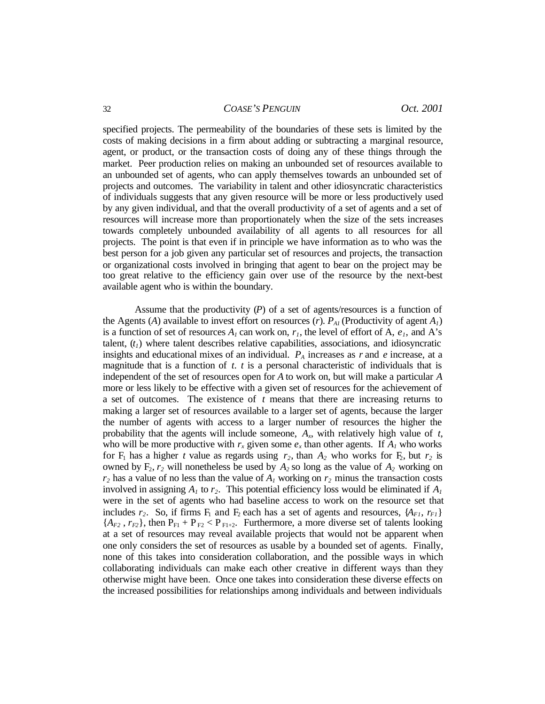specified projects. The permeability of the boundaries of these sets is limited by the costs of making decisions in a firm about adding or subtracting a marginal resource, agent, or product, or the transaction costs of doing any of these things through the market. Peer production relies on making an unbounded set of resources available to an unbounded set of agents, who can apply themselves towards an unbounded set of projects and outcomes. The variability in talent and other idiosyncratic characteristics of individuals suggests that any given resource will be more or less productively used by any given individual, and that the overall productivity of a set of agents and a set of resources will increase more than proportionately when the size of the sets increases towards completely unbounded availability of all agents to all resources for all projects. The point is that even if in principle we have information as to who was the best person for a job given any particular set of resources and projects, the transaction or organizational costs involved in bringing that agent to bear on the project may be too great relative to the efficiency gain over use of the resource by the next-best available agent who is within the boundary.

Assume that the productivity (*P*) of a set of agents/resources is a function of the Agents (*A*) available to invest effort on resources (*r*).  $P_{AI}$  (Productivity of agent  $A_i$ ) is a function of set of resources  $A<sub>I</sub>$  can work on,  $r<sub>I</sub>$ , the level of effort of A,  $e<sub>I</sub>$ , and A's talent,  $(t<sub>l</sub>)$  where talent describes relative capabilities, associations, and idiosyncratic insights and educational mixes of an individual. *PA* increases as *r* and *e* increase, at a magnitude that is a function of *t*. *t* is a personal characteristic of individuals that is independent of the set of resources open for *A* to work on, but will make a particular *A* more or less likely to be effective with a given set of resources for the achievement of a set of outcomes. The existence of *t* means that there are increasing returns to making a larger set of resources available to a larger set of agents, because the larger the number of agents with access to a larger number of resources the higher the probability that the agents will include someone, *A<sup>x</sup>* , with relatively high value of *t*, who will be more productive with  $r_x$  given some  $e_x$  than other agents. If  $A_1$  who works for  $F_1$  has a higher *t* value as regards using  $r_2$ , than  $A_2$  who works for  $F_2$ , but  $r_2$  is owned by  $F_2$ ,  $r_2$  will nonetheless be used by  $A_2$  so long as the value of  $A_2$  working on  $r_2$  has a value of no less than the value of  $A_1$  working on  $r_2$  minus the transaction costs involved in assigning  $A<sub>l</sub>$  to  $r<sub>2</sub>$ . This potential efficiency loss would be eliminated if  $A<sub>l</sub>$ were in the set of agents who had baseline access to work on the resource set that includes  $r_2$ . So, if firms  $F_1$  and  $F_2$  each has a set of agents and resources,  $\{A_{F1}, r_{F1}\}$  $\{A_{F2}, r_{F2}\}\$ , then  $P_{F1} + P_{F2} < P_{F1+2}$ . Furthermore, a more diverse set of talents looking at a set of resources may reveal available projects that would not be apparent when one only considers the set of resources as usable by a bounded set of agents. Finally, none of this takes into consideration collaboration, and the possible ways in which collaborating individuals can make each other creative in different ways than they otherwise might have been. Once one takes into consideration these diverse effects on the increased possibilities for relationships among individuals and between individuals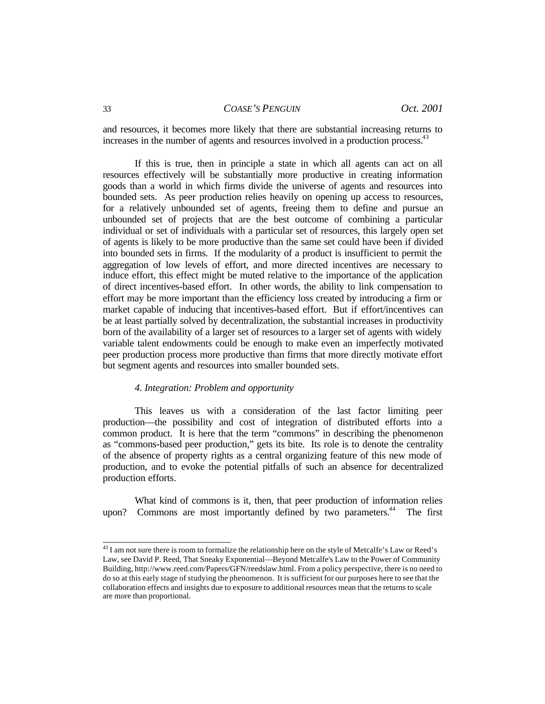and resources, it becomes more likely that there are substantial increasing returns to increases in the number of agents and resources involved in a production process.<sup>43</sup>

If this is true, then in principle a state in which all agents can act on all resources effectively will be substantially more productive in creating information goods than a world in which firms divide the universe of agents and resources into bounded sets. As peer production relies heavily on opening up access to resources, for a relatively unbounded set of agents, freeing them to define and pursue an unbounded set of projects that are the best outcome of combining a particular individual or set of individuals with a particular set of resources, this largely open set of agents is likely to be more productive than the same set could have been if divided into bounded sets in firms. If the modularity of a product is insufficient to permit the aggregation of low levels of effort, and more directed incentives are necessary to induce effort, this effect might be muted relative to the importance of the application of direct incentives-based effort. In other words, the ability to link compensation to effort may be more important than the efficiency loss created by introducing a firm or market capable of inducing that incentives-based effort. But if effort/incentives can be at least partially solved by decentralization, the substantial increases in productivity born of the availability of a larger set of resources to a larger set of agents with widely variable talent endowments could be enough to make even an imperfectly motivated peer production process more productive than firms that more directly motivate effort but segment agents and resources into smaller bounded sets.

# *4. Integration: Problem and opportunity*

This leaves us with a consideration of the last factor limiting peer production—the possibility and cost of integration of distributed efforts into a common product. It is here that the term "commons" in describing the phenomenon as "commons-based peer production," gets its bite. Its role is to denote the centrality of the absence of property rights as a central organizing feature of this new mode of production, and to evoke the potential pitfalls of such an absence for decentralized production efforts.

What kind of commons is it, then, that peer production of information relies upon? Commons are most importantly defined by two parameters.<sup>44</sup> The first

<sup>&</sup>lt;sup>43</sup> I am not sure there is room to formalize the relationship here on the style of Metcalfe's Law or Reed's Law, see David P. Reed, That Sneaky Exponential—Beyond Metcalfe's Law to the Power of Community Building, http://www.reed.com/Papers/GFN/reedslaw.html. From a policy perspective, there is no need to do so at this early stage of studying the phenomenon. It is sufficient for our purposes here to see that the collaboration effects and insights due to exposure to additional resources mean that the returns to scale are more than proportional.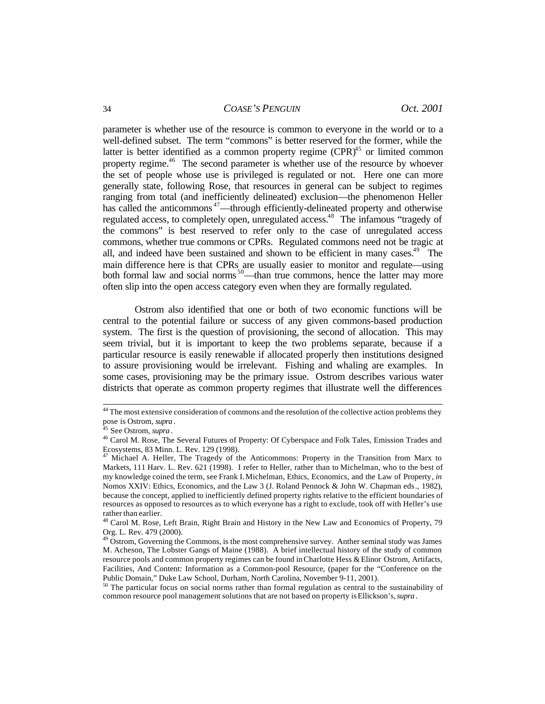parameter is whether use of the resource is common to everyone in the world or to a well-defined subset. The term "commons" is better reserved for the former, while the latter is better identified as a common property regime  $(CPR)^{45}$  or limited common property regime.<sup>46</sup> The second parameter is whether use of the resource by whoever the set of people whose use is privileged is regulated or not. Here one can more generally state, following Rose, that resources in general can be subject to regimes ranging from total (and inefficiently delineated) exclusion—the phenomenon Heller has called the anticommons<sup>47</sup>—through efficiently-delineated property and otherwise regulated access, to completely open, unregulated access.<sup>48</sup> The infamous "tragedy of the commons" is best reserved to refer only to the case of unregulated access commons, whether true commons or CPRs. Regulated commons need not be tragic at all, and indeed have been sustained and shown to be efficient in many cases.<sup>49</sup> The main difference here is that CPRs are usually easier to monitor and regulate—using both formal law and social norms  $50$ —than true commons, hence the latter may more often slip into the open access category even when they are formally regulated.

Ostrom also identified that one or both of two economic functions will be central to the potential failure or success of any given commons-based production system. The first is the question of provisioning, the second of allocation. This may seem trivial, but it is important to keep the two problems separate, because if a particular resource is easily renewable if allocated properly then institutions designed to assure provisioning would be irrelevant. Fishing and whaling are examples. In some cases, provisioning may be the primary issue. Ostrom describes various water districts that operate as common property regimes that illustrate well the differences

<sup>&</sup>lt;sup>44</sup> The most extensive consideration of commons and the resolution of the collective action problems they pose is Ostrom, *supra* .

<sup>45</sup> See Ostrom, *supra* .

<sup>46</sup> Carol M. Rose, The Several Futures of Property: Of Cyberspace and Folk Tales, Emission Trades and Ecosystems, 83 Minn. L. Rev. 129 (1998).

Michael A. Heller, The Tragedy of the Anticommons: Property in the Transition from Marx to Markets, 111 Harv. L. Rev. 621 (1998). I refer to Heller, rather than to Michelman, who to the best of my knowledge coined the term, see Frank I. Michelman, Ethics, Economics, and the Law of Property*, in* Nomos XXIV: Ethics, Economics, and the Law 3 (J. Roland Pennock & John W. Chapman eds., 1982), because the concept, applied to inefficiently defined property rights relative to the efficient boundaries of resources as opposed to resources as to which everyone has a right to exclude, took off with Heller's use rather than earlier.

<sup>&</sup>lt;sup>48</sup> Carol M. Rose, Left Brain, Right Brain and History in the New Law and Economics of Property, 79 Org. L. Rev. 479 (2000).

<sup>&</sup>lt;sup>49</sup> Ostrom, Governing the Commons, is the most comprehensive survey. Anther seminal study was James M. Acheson, The Lobster Gangs of Maine (1988). A brief intellectual history of the study of common resource pools and common property regimes can be found in Charlotte Hess & Elinor Ostrom, Artifacts, Facilities, And Content: Information as a Common-pool Resource, (paper for the "Conference on the Public Domain," Duke Law School, Durham, North Carolina, November 9-11, 2001).

 $50$  The particular focus on social norms rather than formal regulation as central to the sustainability of common resource pool management solutions that are not based on property is Ellickson's, *supra* .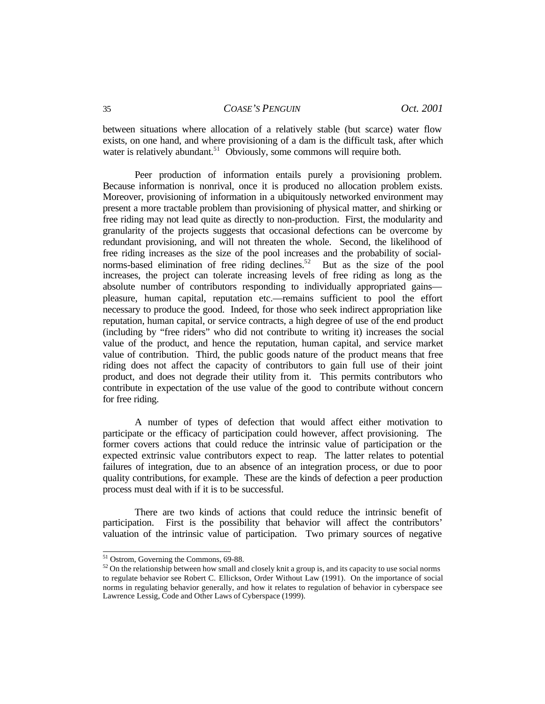between situations where allocation of a relatively stable (but scarce) water flow exists, on one hand, and where provisioning of a dam is the difficult task, after which water is relatively abundant.<sup>51</sup> Obviously, some commons will require both.

Peer production of information entails purely a provisioning problem. Because information is nonrival, once it is produced no allocation problem exists. Moreover, provisioning of information in a ubiquitously networked environment may present a more tractable problem than provisioning of physical matter, and shirking or free riding may not lead quite as directly to non-production. First, the modularity and granularity of the projects suggests that occasional defections can be overcome by redundant provisioning, and will not threaten the whole. Second, the likelihood of free riding increases as the size of the pool increases and the probability of socialnorms-based elimination of free riding declines.<sup>52</sup> But as the size of the pool increases, the project can tolerate increasing levels of free riding as long as the absolute number of contributors responding to individually appropriated gains pleasure, human capital, reputation etc.—remains sufficient to pool the effort necessary to produce the good. Indeed, for those who seek indirect appropriation like reputation, human capital, or service contracts, a high degree of use of the end product (including by "free riders" who did not contribute to writing it) increases the social value of the product, and hence the reputation, human capital, and service market value of contribution. Third, the public goods nature of the product means that free riding does not affect the capacity of contributors to gain full use of their joint product, and does not degrade their utility from it. This permits contributors who contribute in expectation of the use value of the good to contribute without concern for free riding.

A number of types of defection that would affect either motivation to participate or the efficacy of participation could however, affect provisioning. The former covers actions that could reduce the intrinsic value of participation or the expected extrinsic value contributors expect to reap. The latter relates to potential failures of integration, due to an absence of an integration process, or due to poor quality contributions, for example. These are the kinds of defection a peer production process must deal with if it is to be successful.

There are two kinds of actions that could reduce the intrinsic benefit of participation. First is the possibility that behavior will affect the contributors' valuation of the intrinsic value of participation. Two primary sources of negative

l

<sup>&</sup>lt;sup>51</sup> Ostrom, Governing the Commons, 69-88.

 $52$  On the relationship between how small and closely knit a group is, and its capacity to use social norms to regulate behavior see Robert C. Ellickson, Order Without Law (1991). On the importance of social norms in regulating behavior generally, and how it relates to regulation of behavior in cyberspace see Lawrence Lessig, Code and Other Laws of Cyberspace (1999).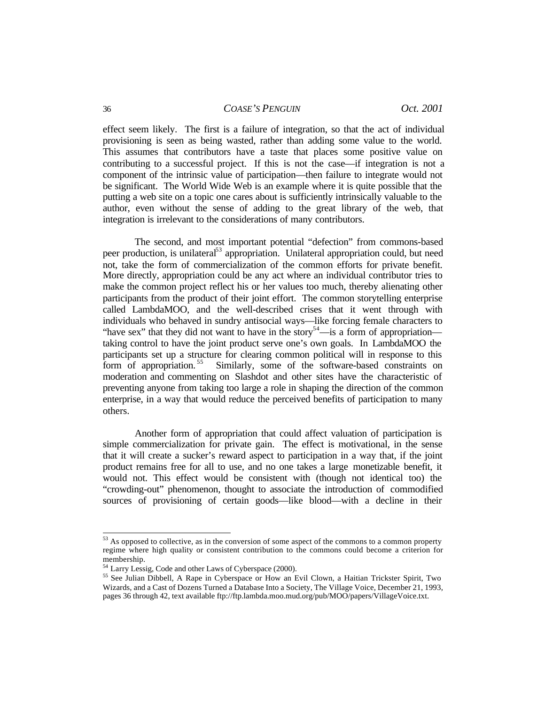effect seem likely. The first is a failure of integration, so that the act of individual provisioning is seen as being wasted, rather than adding some value to the world. This assumes that contributors have a taste that places some positive value on contributing to a successful project. If this is not the case—if integration is not a component of the intrinsic value of participation—then failure to integrate would not be significant. The World Wide Web is an example where it is quite possible that the putting a web site on a topic one cares about is sufficiently intrinsically valuable to the author, even without the sense of adding to the great library of the web, that integration is irrelevant to the considerations of many contributors.

The second, and most important potential "defection" from commons-based peer production, is unilateral<sup>53</sup> appropriation. Unilateral appropriation could, but need not, take the form of commercialization of the common efforts for private benefit. More directly, appropriation could be any act where an individual contributor tries to make the common project reflect his or her values too much, thereby alienating other participants from the product of their joint effort. The common storytelling enterprise called LambdaMOO, and the well-described crises that it went through with individuals who behaved in sundry antisocial ways—like forcing female characters to "have sex" that they did not want to have in the story<sup>54</sup>—is a form of appropriation taking control to have the joint product serve one's own goals. In LambdaMOO the participants set up a structure for clearing common political will in response to this form of appropriation.<sup>55</sup> Similarly, some of the software-based constraints on Similarly, some of the software-based constraints on moderation and commenting on Slashdot and other sites have the characteristic of preventing anyone from taking too large a role in shaping the direction of the common enterprise, in a way that would reduce the perceived benefits of participation to many others.

Another form of appropriation that could affect valuation of participation is simple commercialization for private gain. The effect is motivational, in the sense that it will create a sucker's reward aspect to participation in a way that, if the joint product remains free for all to use, and no one takes a large monetizable benefit, it would not. This effect would be consistent with (though not identical too) the "crowding-out" phenomenon, thought to associate the introduction of commodified sources of provisioning of certain goods—like blood—with a decline in their

<sup>&</sup>lt;sup>53</sup> As opposed to collective, as in the conversion of some aspect of the commons to a common property regime where high quality or consistent contribution to the commons could become a criterion for membership.

<sup>54</sup> Larry Lessig, Code and other Laws of Cyberspace (2000).

<sup>55</sup> See Julian Dibbell, A Rape in Cyberspace or How an Evil Clown, a Haitian Trickster Spirit, Two Wizards, and a Cast of Dozens Turned a Database Into a Society, The Village Voice, December 21, 1993, pages 36 through 42, text available ftp://ftp.lambda.moo.mud.org/pub/MOO/papers/VillageVoice.txt.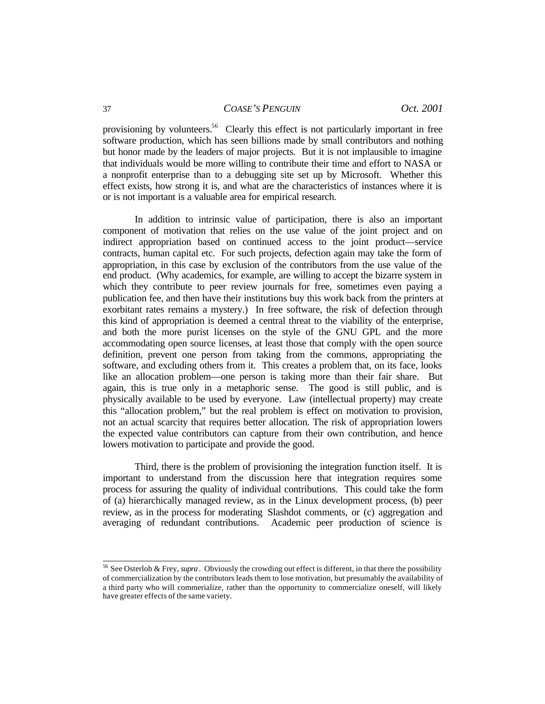provisioning by volunteers.<sup>56</sup> Clearly this effect is not particularly important in free software production, which has seen billions made by small contributors and nothing but honor made by the leaders of major projects. But it is not implausible to imagine that individuals would be more willing to contribute their time and effort to NASA or a nonprofit enterprise than to a debugging site set up by Microsoft. Whether this effect exists, how strong it is, and what are the characteristics of instances where it is or is not important is a valuable area for empirical research.

In addition to intrinsic value of participation, there is also an important component of motivation that relies on the use value of the joint project and on indirect appropriation based on continued access to the joint product—service contracts, human capital etc. For such projects, defection again may take the form of appropriation, in this case by exclusion of the contributors from the use value of the end product. (Why academics, for example, are willing to accept the bizarre system in which they contribute to peer review journals for free, sometimes even paying a publication fee, and then have their institutions buy this work back from the printers at exorbitant rates remains a mystery.) In free software, the risk of defection through this kind of appropriation is deemed a central threat to the viability of the enterprise, and both the more purist licenses on the style of the GNU GPL and the more accommodating open source licenses, at least those that comply with the open source definition, prevent one person from taking from the commons, appropriating the software, and excluding others from it. This creates a problem that, on its face, looks like an allocation problem—one person is taking more than their fair share. But again, this is true only in a metaphoric sense. The good is still public, and is physically available to be used by everyone. Law (intellectual property) may create this "allocation problem," but the real problem is effect on motivation to provision, not an actual scarcity that requires better allocation. The risk of appropriation lowers the expected value contributors can capture from their own contribution, and hence lowers motivation to participate and provide the good.

Third, there is the problem of provisioning the integration function itself. It is important to understand from the discussion here that integration requires some process for assuring the quality of individual contributions. This could take the form of (a) hierarchically managed review, as in the Linux development process, (b) peer review, as in the process for moderating Slashdot comments, or (c) aggregation and averaging of redundant contributions. Academic peer production of science is

l

<sup>56</sup> See Osterloh & Frey, *supra* . Obviously the crowding out effect is different, in that there the possibility of commercialization by the contributors leads them to lose motivation, but presumably the availability of a third party who will commerialize, rather than the opportunity to commercialize oneself, will likely have greater effects of the same variety.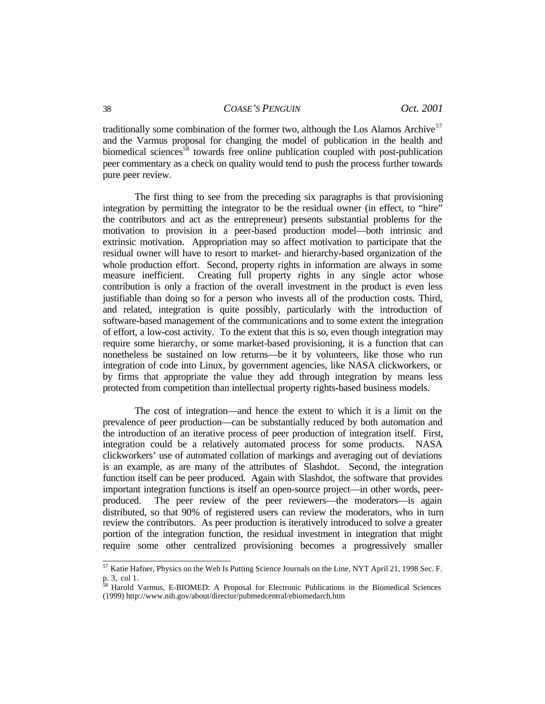traditionally some combination of the former two, although the Los Alamos Archive<sup>57</sup> and the Varmus proposal for changing the model of publication in the health and biomedical sciences $\overline{s}^8$  towards free online publication coupled with post-publication peer commentary as a check on quality would tend to push the process further towards pure peer review.

The first thing to see from the preceding six paragraphs is that provisioning integration by permitting the integrator to be the residual owner (in effect, to "hire" the contributors and act as the entrepreneur) presents substantial problems for the motivation to provision in a peer-based production model—both intrinsic and extrinsic motivation. Appropriation may so affect motivation to participate that the residual owner will have to resort to market- and hierarchy-based organization of the whole production effort. Second, property rights in information are always in some measure inefficient. Creating full property rights in any single actor whose contribution is only a fraction of the overall investment in the product is even less justifiable than doing so for a person who invests all of the production costs. Third, and related, integration is quite possibly, particularly with the introduction of software-based management of the communications and to some extent the integration of effort, a low-cost activity. To the extent that this is so, even though integration may require some hierarchy, or some market-based provisioning, it is a function that can nonetheless be sustained on low returns—be it by volunteers, like those who run integration of code into Linux, by government agencies, like NASA clickworkers, or by firms that appropriate the value they add through integration by means less protected from competition than intellectual property rights-based business models.

The cost of integration—and hence the extent to which it is a limit on the prevalence of peer production—can be substantially reduced by both automation and the introduction of an iterative process of peer production of integration itself. First, integration could be a relatively automated process for some products. NASA clickworkers' use of automated collation of markings and averaging out of deviations is an example, as are many of the attributes of Slashdot. Second, the integration function itself can be peer produced. Again with Slashdot, the software that provides important integration functions is itself an open-source project—in other words, peerproduced. The peer review of the peer reviewers—the moderators—is again distributed, so that 90% of registered users can review the moderators, who in turn review the contributors. As peer production is iteratively introduced to solve a greater portion of the integration function, the residual investment in integration that might require some other centralized provisioning becomes a progressively smaller

l

 $57$  Katie Hafner, Physics on the Web Is Putting Science Journals on the Line, NYT April 21, 1998 Sec. F. p. 3, col 1.<br> $58 \text{ H}_{\text{max}}$ 

<sup>58</sup> Harold Varmus, E-BIOMED: A Proposal for Electronic Publications in the Biomedical Sciences (1999) http://www.nih.gov/about/director/pubmedcentral/ebiomedarch.htm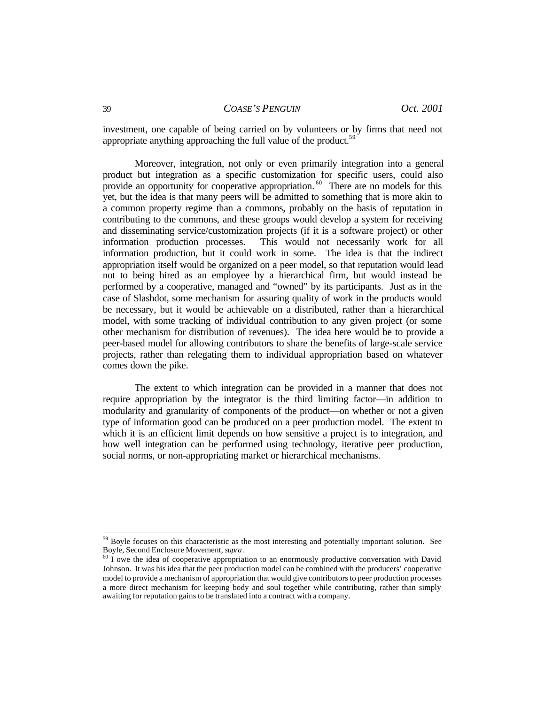investment, one capable of being carried on by volunteers or by firms that need not appropriate anything approaching the full value of the product.<sup>59</sup>

Moreover, integration, not only or even primarily integration into a general product but integration as a specific customization for specific users, could also provide an opportunity for cooperative appropriation.<sup>60</sup> There are no models for this yet, but the idea is that many peers will be admitted to something that is more akin to a common property regime than a commons, probably on the basis of reputation in contributing to the commons, and these groups would develop a system for receiving and disseminating service/customization projects (if it is a software project) or other information production processes. This would not necessarily work for all information production, but it could work in some. The idea is that the indirect appropriation itself would be organized on a peer model, so that reputation would lead not to being hired as an employee by a hierarchical firm, but would instead be performed by a cooperative, managed and "owned" by its participants. Just as in the case of Slashdot, some mechanism for assuring quality of work in the products would be necessary, but it would be achievable on a distributed, rather than a hierarchical model, with some tracking of individual contribution to any given project (or some other mechanism for distribution of revenues). The idea here would be to provide a peer-based model for allowing contributors to share the benefits of large-scale service projects, rather than relegating them to individual appropriation based on whatever comes down the pike.

The extent to which integration can be provided in a manner that does not require appropriation by the integrator is the third limiting factor—in addition to modularity and granularity of components of the product—on whether or not a given type of information good can be produced on a peer production model. The extent to which it is an efficient limit depends on how sensitive a project is to integration, and how well integration can be performed using technology, iterative peer production, social norms, or non-appropriating market or hierarchical mechanisms.

<sup>&</sup>lt;sup>59</sup> Boyle focuses on this characteristic as the most interesting and potentially important solution. See Boyle, Second Enclosure Movement, *supra* .

 $60$  I owe the idea of cooperative appropriation to an enormously productive conversation with David Johnson. It was his idea that the peer production model can be combined with the producers' cooperative model to provide a mechanism of appropriation that would give contributors to peer production processes a more direct mechanism for keeping body and soul together while contributing, rather than simply awaiting for reputation gains to be translated into a contract with a company.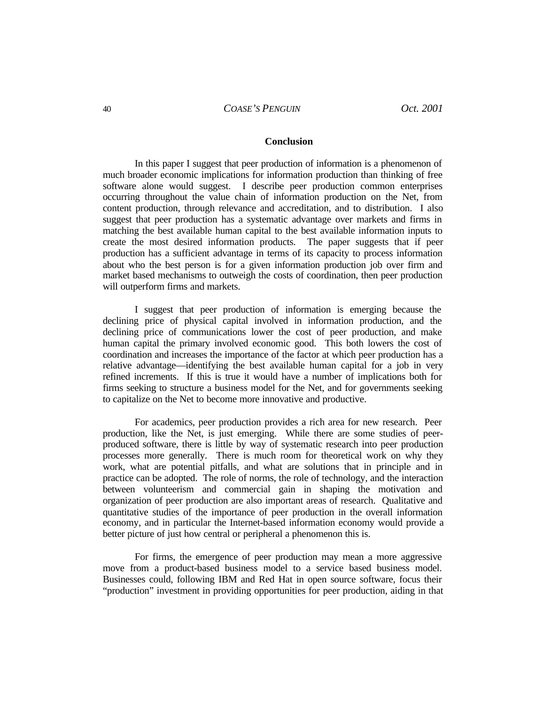### **Conclusion**

In this paper I suggest that peer production of information is a phenomenon of much broader economic implications for information production than thinking of free software alone would suggest. I describe peer production common enterprises occurring throughout the value chain of information production on the Net, from content production, through relevance and accreditation, and to distribution. I also suggest that peer production has a systematic advantage over markets and firms in matching the best available human capital to the best available information inputs to create the most desired information products. The paper suggests that if peer production has a sufficient advantage in terms of its capacity to process information about who the best person is for a given information production job over firm and market based mechanisms to outweigh the costs of coordination, then peer production will outperform firms and markets.

I suggest that peer production of information is emerging because the declining price of physical capital involved in information production, and the declining price of communications lower the cost of peer production, and make human capital the primary involved economic good. This both lowers the cost of coordination and increases the importance of the factor at which peer production has a relative advantage—identifying the best available human capital for a job in very refined increments. If this is true it would have a number of implications both for firms seeking to structure a business model for the Net, and for governments seeking to capitalize on the Net to become more innovative and productive.

For academics, peer production provides a rich area for new research. Peer production, like the Net, is just emerging. While there are some studies of peerproduced software, there is little by way of systematic research into peer production processes more generally. There is much room for theoretical work on why they work, what are potential pitfalls, and what are solutions that in principle and in practice can be adopted. The role of norms, the role of technology, and the interaction between volunteerism and commercial gain in shaping the motivation and organization of peer production are also important areas of research. Qualitative and quantitative studies of the importance of peer production in the overall information economy, and in particular the Internet-based information economy would provide a better picture of just how central or peripheral a phenomenon this is.

For firms, the emergence of peer production may mean a more aggressive move from a product-based business model to a service based business model. Businesses could, following IBM and Red Hat in open source software, focus their "production" investment in providing opportunities for peer production, aiding in that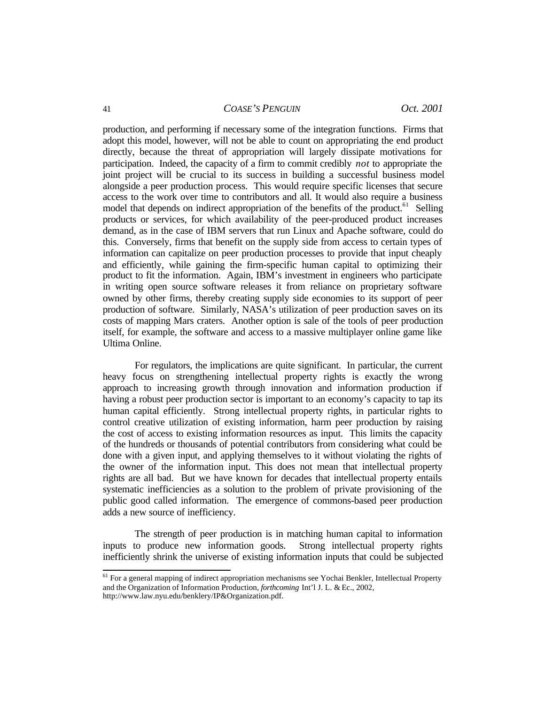production, and performing if necessary some of the integration functions. Firms that adopt this model, however, will not be able to count on appropriating the end product directly, because the threat of appropriation will largely dissipate motivations for participation. Indeed, the capacity of a firm to commit credibly *not* to appropriate the joint project will be crucial to its success in building a successful business model alongside a peer production process. This would require specific licenses that secure access to the work over time to contributors and all. It would also require a business model that depends on indirect appropriation of the benefits of the product.<sup>61</sup> Selling products or services, for which availability of the peer-produced product increases demand, as in the case of IBM servers that run Linux and Apache software, could do this. Conversely, firms that benefit on the supply side from access to certain types of information can capitalize on peer production processes to provide that input cheaply and efficiently, while gaining the firm-specific human capital to optimizing their product to fit the information. Again, IBM's investment in engineers who participate in writing open source software releases it from reliance on proprietary software owned by other firms, thereby creating supply side economies to its support of peer production of software. Similarly, NASA's utilization of peer production saves on its costs of mapping Mars craters. Another option is sale of the tools of peer production itself, for example, the software and access to a massive multiplayer online game like Ultima Online.

For regulators, the implications are quite significant. In particular, the current heavy focus on strengthening intellectual property rights is exactly the wrong approach to increasing growth through innovation and information production if having a robust peer production sector is important to an economy's capacity to tap its human capital efficiently. Strong intellectual property rights, in particular rights to control creative utilization of existing information, harm peer production by raising the cost of access to existing information resources as input. This limits the capacity of the hundreds or thousands of potential contributors from considering what could be done with a given input, and applying themselves to it without violating the rights of the owner of the information input. This does not mean that intellectual property rights are all bad. But we have known for decades that intellectual property entails systematic inefficiencies as a solution to the problem of private provisioning of the public good called information. The emergence of commons-based peer production adds a new source of inefficiency.

The strength of peer production is in matching human capital to information inputs to produce new information goods. Strong intellectual property rights inefficiently shrink the universe of existing information inputs that could be subjected

<sup>&</sup>lt;sup>61</sup> For a general mapping of indirect appropriation mechanisms see Yochai Benkler, Intellectual Property and the Organization of Information Production, *forthcoming* Int'l J. L. & Ec., 2002, http://www.law.nyu.edu/benklery/IP&Organization.pdf.